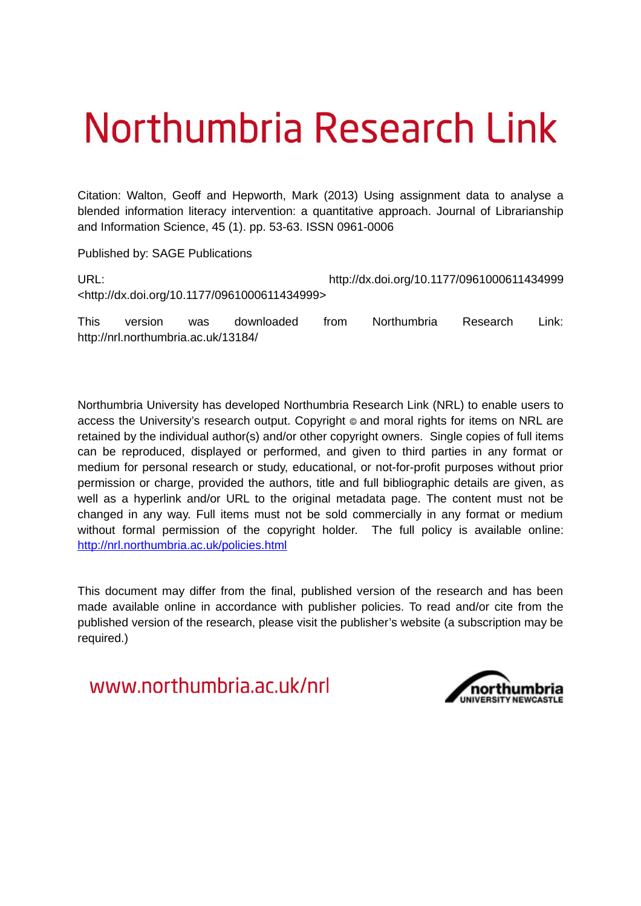# Northumbria Research Link

Citation: Walton, Geoff and Hepworth, Mark (2013) Using assignment data to analyse a blended information literacy intervention: a quantitative approach. Journal of Librarianship and Information Science, 45 (1). pp. 53-63. ISSN 0961-0006

Published by: SAGE Publications

URL: http://dx.doi.org/10.1177/0961000611434999 <http://dx.doi.org/10.1177/0961000611434999>

This version was downloaded from Northumbria Research Link: http://nrl.northumbria.ac.uk/13184/

Northumbria University has developed Northumbria Research Link (NRL) to enable users to access the University's research output. Copyright  $\circ$  and moral rights for items on NRL are retained by the individual author(s) and/or other copyright owners. Single copies of full items can be reproduced, displayed or performed, and given to third parties in any format or medium for personal research or study, educational, or not-for-profit purposes without prior permission or charge, provided the authors, title and full bibliographic details are given, as well as a hyperlink and/or URL to the original metadata page. The content must not be changed in any way. Full items must not be sold commercially in any format or medium without formal permission of the copyright holder. The full policy is available online: <http://nrl.northumbria.ac.uk/policies.html>

This document may differ from the final, published version of the research and has been made available online in accordance with publisher policies. To read and/or cite from the published version of the research, please visit the publisher's website (a subscription may be required.)

www.northumbria.ac.uk/nrl

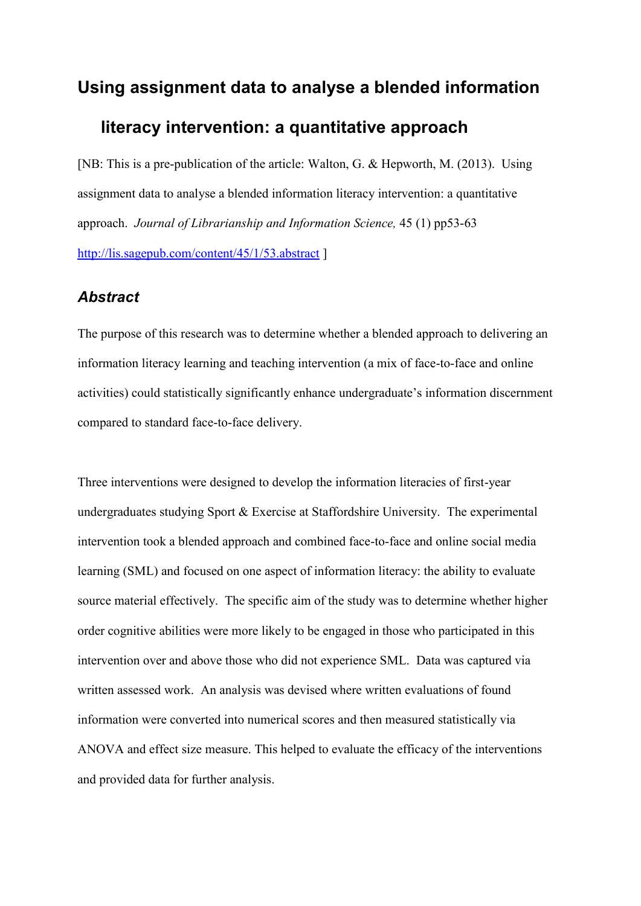# **Using assignment data to analyse a blended information**

# **literacy intervention: a quantitative approach**

[NB: This is a pre-publication of the article: Walton, G. & Hepworth, M. (2013). Using assignment data to analyse a blended information literacy intervention: a quantitative approach. *Journal of Librarianship and Information Science,* 45 (1) pp53-63 <http://lis.sagepub.com/content/45/1/53.abstract>]

## *Abstract*

The purpose of this research was to determine whether a blended approach to delivering an information literacy learning and teaching intervention (a mix of face-to-face and online activities) could statistically significantly enhance undergraduate's information discernment compared to standard face-to-face delivery.

Three interventions were designed to develop the information literacies of first-year undergraduates studying Sport & Exercise at Staffordshire University. The experimental intervention took a blended approach and combined face-to-face and online social media learning (SML) and focused on one aspect of information literacy: the ability to evaluate source material effectively. The specific aim of the study was to determine whether higher order cognitive abilities were more likely to be engaged in those who participated in this intervention over and above those who did not experience SML. Data was captured via written assessed work. An analysis was devised where written evaluations of found information were converted into numerical scores and then measured statistically via ANOVA and effect size measure. This helped to evaluate the efficacy of the interventions and provided data for further analysis.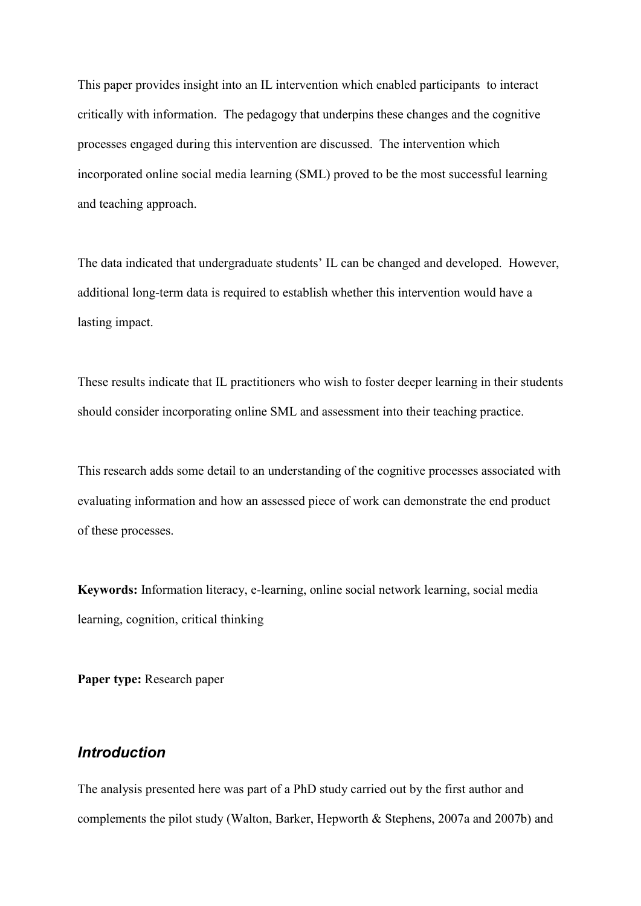This paper provides insight into an IL intervention which enabled participants to interact critically with information. The pedagogy that underpins these changes and the cognitive processes engaged during this intervention are discussed. The intervention which incorporated online social media learning (SML) proved to be the most successful learning and teaching approach.

The data indicated that undergraduate students' IL can be changed and developed. However, additional long-term data is required to establish whether this intervention would have a lasting impact.

These results indicate that IL practitioners who wish to foster deeper learning in their students should consider incorporating online SML and assessment into their teaching practice.

This research adds some detail to an understanding of the cognitive processes associated with evaluating information and how an assessed piece of work can demonstrate the end product of these processes.

**Keywords:** Information literacy, e-learning, online social network learning, social media learning, cognition, critical thinking

**Paper type:** Research paper

## *Introduction*

The analysis presented here was part of a PhD study carried out by the first author and complements the pilot study (Walton, Barker, Hepworth & Stephens, 2007a and 2007b) and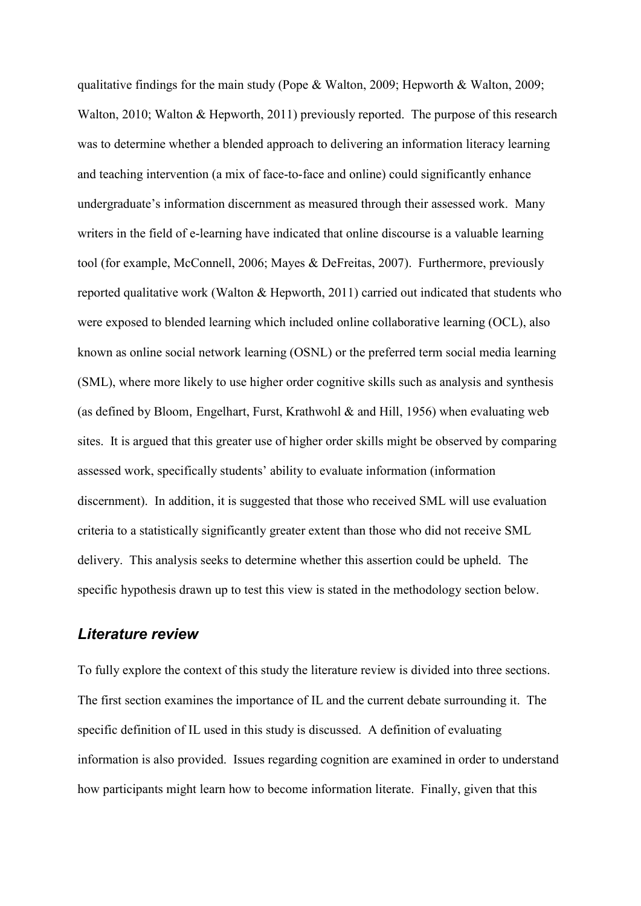qualitative findings for the main study (Pope & Walton, 2009; Hepworth & Walton, 2009; Walton, 2010; Walton & Hepworth, 2011) previously reported. The purpose of this research was to determine whether a blended approach to delivering an information literacy learning and teaching intervention (a mix of face-to-face and online) could significantly enhance undergraduate's information discernment as measured through their assessed work. Many writers in the field of e-learning have indicated that online discourse is a valuable learning tool (for example, McConnell, 2006; Mayes & DeFreitas, 2007). Furthermore, previously reported qualitative work (Walton & Hepworth, 2011) carried out indicated that students who were exposed to blended learning which included online collaborative learning (OCL), also known as online social network learning (OSNL) or the preferred term social media learning (SML), where more likely to use higher order cognitive skills such as analysis and synthesis (as defined by Bloom, Engelhart, Furst, Krathwohl & and Hill, 1956) when evaluating web sites. It is argued that this greater use of higher order skills might be observed by comparing assessed work, specifically students' ability to evaluate information (information discernment). In addition, it is suggested that those who received SML will use evaluation criteria to a statistically significantly greater extent than those who did not receive SML delivery. This analysis seeks to determine whether this assertion could be upheld. The specific hypothesis drawn up to test this view is stated in the methodology section below.

## *Literature review*

To fully explore the context of this study the literature review is divided into three sections. The first section examines the importance of IL and the current debate surrounding it. The specific definition of IL used in this study is discussed. A definition of evaluating information is also provided. Issues regarding cognition are examined in order to understand how participants might learn how to become information literate. Finally, given that this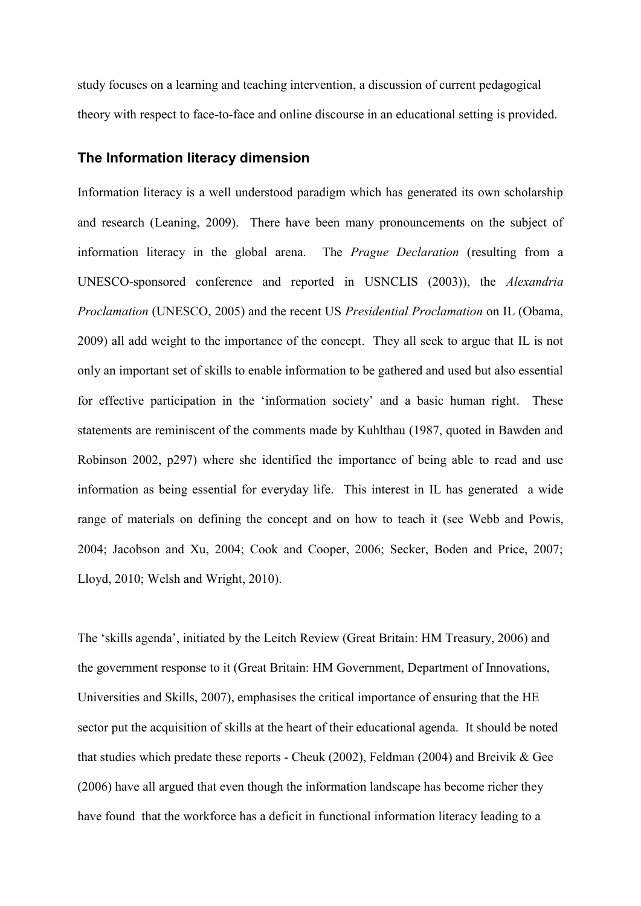study focuses on a learning and teaching intervention, a discussion of current pedagogical theory with respect to face-to-face and online discourse in an educational setting is provided.

#### **The Information literacy dimension**

Information literacy is a well understood paradigm which has generated its own scholarship and research (Leaning, 2009). There have been many pronouncements on the subject of information literacy in the global arena. The *Prague Declaration* (resulting from a UNESCO-sponsored conference and reported in USNCLIS (2003)), the *Alexandria Proclamation* (UNESCO, 2005) and the recent US *Presidential Proclamation* on IL (Obama, 2009) all add weight to the importance of the concept. They all seek to argue that IL is not only an important set of skills to enable information to be gathered and used but also essential for effective participation in the 'information society' and a basic human right. These statements are reminiscent of the comments made by Kuhlthau (1987, quoted in Bawden and Robinson 2002, p297) where she identified the importance of being able to read and use information as being essential for everyday life. This interest in IL has generated a wide range of materials on defining the concept and on how to teach it (see Webb and Powis, 2004; Jacobson and Xu, 2004; Cook and Cooper, 2006; Secker, Boden and Price, 2007; Lloyd, 2010; Welsh and Wright, 2010).

The 'skills agenda', initiated by the Leitch Review (Great Britain: HM Treasury, 2006) and the government response to it (Great Britain: HM Government, Department of Innovations, Universities and Skills, 2007), emphasises the critical importance of ensuring that the HE sector put the acquisition of skills at the heart of their educational agenda. It should be noted that studies which predate these reports - Cheuk (2002), Feldman (2004) and Breivik & Gee (2006) have all argued that even though the information landscape has become richer they have found that the workforce has a deficit in functional information literacy leading to a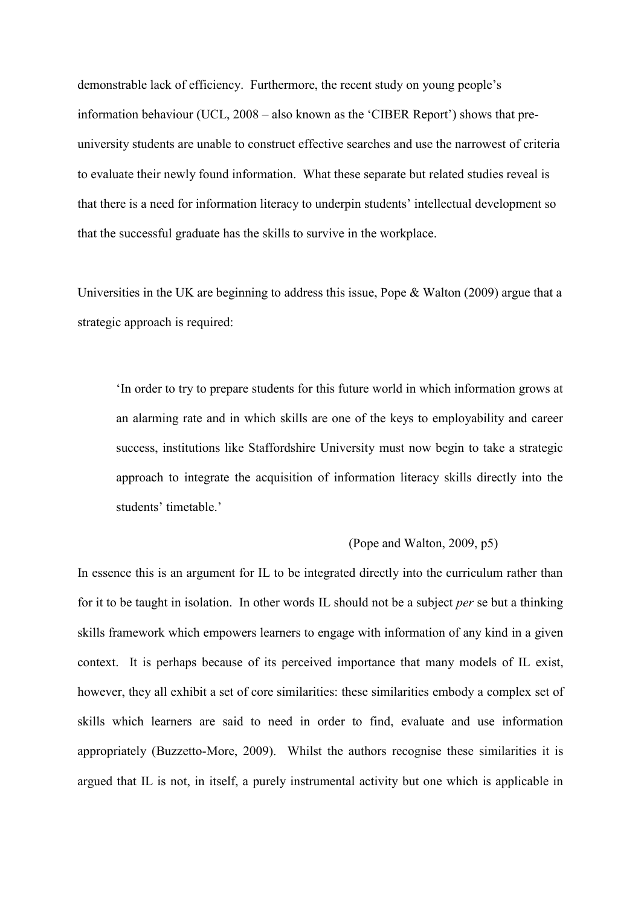demonstrable lack of efficiency. Furthermore, the recent study on young people's information behaviour (UCL, 2008 – also known as the 'CIBER Report') shows that preuniversity students are unable to construct effective searches and use the narrowest of criteria to evaluate their newly found information. What these separate but related studies reveal is that there is a need for information literacy to underpin students' intellectual development so that the successful graduate has the skills to survive in the workplace.

Universities in the UK are beginning to address this issue, Pope & Walton (2009) argue that a strategic approach is required:

'In order to try to prepare students for this future world in which information grows at an alarming rate and in which skills are one of the keys to employability and career success, institutions like Staffordshire University must now begin to take a strategic approach to integrate the acquisition of information literacy skills directly into the students' timetable.'

#### (Pope and Walton, 2009, p5)

In essence this is an argument for IL to be integrated directly into the curriculum rather than for it to be taught in isolation. In other words IL should not be a subject *per* se but a thinking skills framework which empowers learners to engage with information of any kind in a given context. It is perhaps because of its perceived importance that many models of IL exist, however, they all exhibit a set of core similarities: these similarities embody a complex set of skills which learners are said to need in order to find, evaluate and use information appropriately (Buzzetto-More, 2009). Whilst the authors recognise these similarities it is argued that IL is not, in itself, a purely instrumental activity but one which is applicable in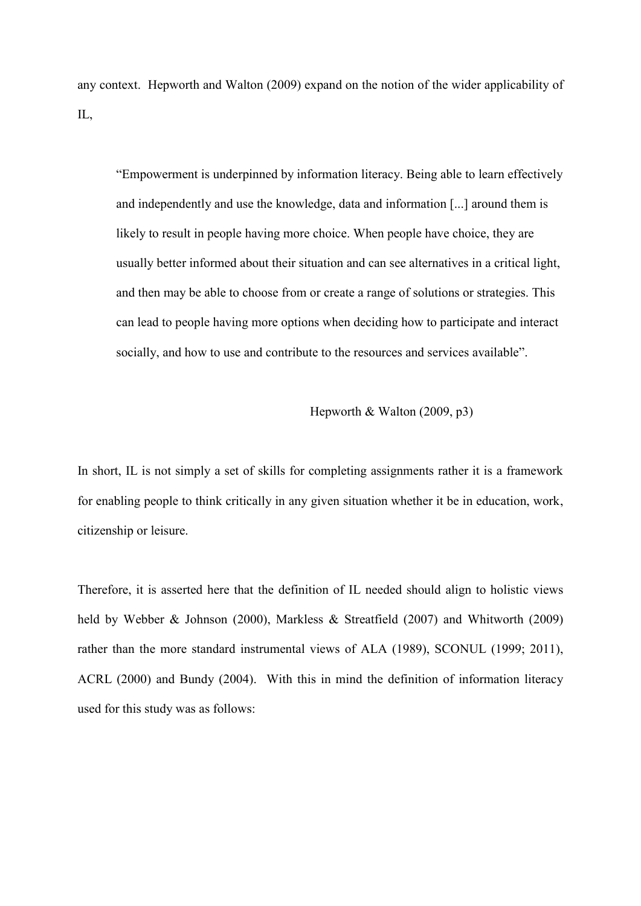any context. Hepworth and Walton (2009) expand on the notion of the wider applicability of IL,

"Empowerment is underpinned by information literacy. Being able to learn effectively and independently and use the knowledge, data and information [...] around them is likely to result in people having more choice. When people have choice, they are usually better informed about their situation and can see alternatives in a critical light, and then may be able to choose from or create a range of solutions or strategies. This can lead to people having more options when deciding how to participate and interact socially, and how to use and contribute to the resources and services available".

Hepworth & Walton (2009, p3)

In short, IL is not simply a set of skills for completing assignments rather it is a framework for enabling people to think critically in any given situation whether it be in education, work, citizenship or leisure.

Therefore, it is asserted here that the definition of IL needed should align to holistic views held by Webber & Johnson (2000), Markless & Streatfield (2007) and Whitworth (2009) rather than the more standard instrumental views of ALA (1989), SCONUL (1999; 2011), ACRL (2000) and Bundy (2004). With this in mind the definition of information literacy used for this study was as follows: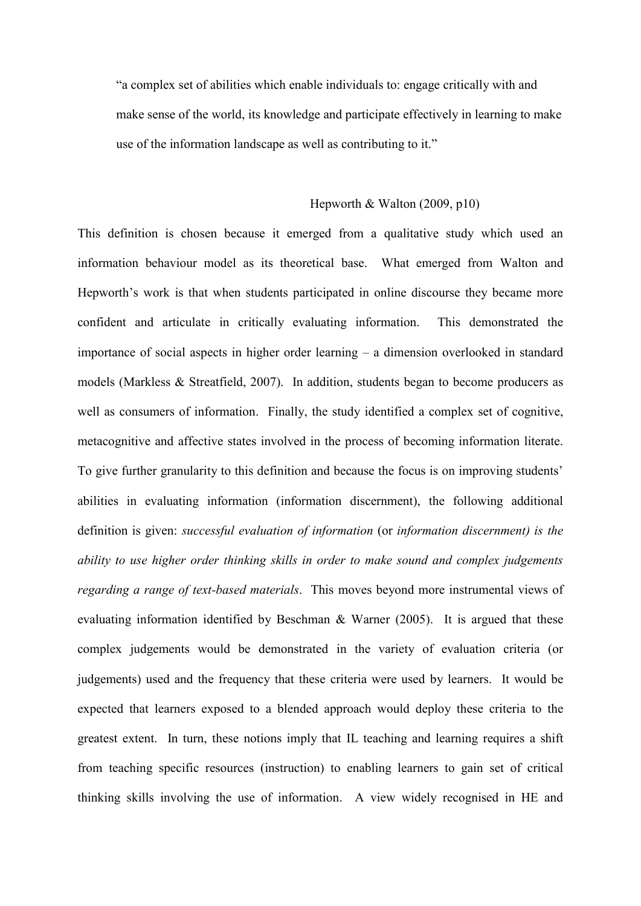"a complex set of abilities which enable individuals to: engage critically with and make sense of the world, its knowledge and participate effectively in learning to make use of the information landscape as well as contributing to it."

#### Hepworth & Walton (2009, p10)

This definition is chosen because it emerged from a qualitative study which used an information behaviour model as its theoretical base. What emerged from Walton and Hepworth's work is that when students participated in online discourse they became more confident and articulate in critically evaluating information. This demonstrated the importance of social aspects in higher order learning – a dimension overlooked in standard models (Markless & Streatfield, 2007). In addition, students began to become producers as well as consumers of information. Finally, the study identified a complex set of cognitive, metacognitive and affective states involved in the process of becoming information literate. To give further granularity to this definition and because the focus is on improving students' abilities in evaluating information (information discernment), the following additional definition is given: *successful evaluation of information* (or *information discernment) is the ability to use higher order thinking skills in order to make sound and complex judgements regarding a range of text-based materials*. This moves beyond more instrumental views of evaluating information identified by Beschman & Warner (2005). It is argued that these complex judgements would be demonstrated in the variety of evaluation criteria (or judgements) used and the frequency that these criteria were used by learners. It would be expected that learners exposed to a blended approach would deploy these criteria to the greatest extent. In turn, these notions imply that IL teaching and learning requires a shift from teaching specific resources (instruction) to enabling learners to gain set of critical thinking skills involving the use of information. A view widely recognised in HE and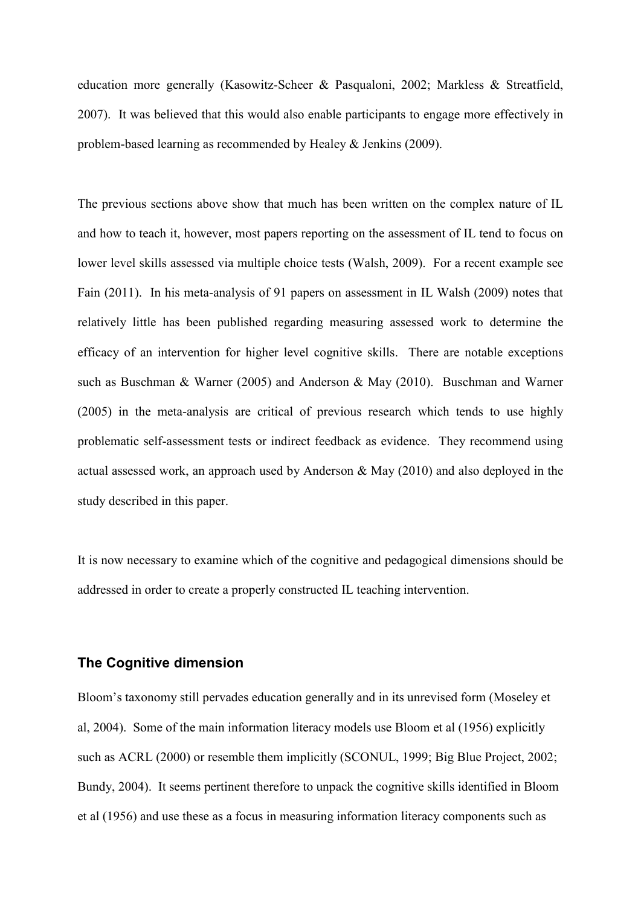education more generally (Kasowitz-Scheer & Pasqualoni, 2002; Markless & Streatfield, 2007). It was believed that this would also enable participants to engage more effectively in problem-based learning as recommended by Healey & Jenkins (2009).

The previous sections above show that much has been written on the complex nature of IL and how to teach it, however, most papers reporting on the assessment of IL tend to focus on lower level skills assessed via multiple choice tests (Walsh, 2009). For a recent example see Fain (2011). In his meta-analysis of 91 papers on assessment in IL Walsh (2009) notes that relatively little has been published regarding measuring assessed work to determine the efficacy of an intervention for higher level cognitive skills. There are notable exceptions such as Buschman & Warner (2005) and Anderson & May (2010). Buschman and Warner (2005) in the meta-analysis are critical of previous research which tends to use highly problematic self-assessment tests or indirect feedback as evidence. They recommend using actual assessed work, an approach used by Anderson & May (2010) and also deployed in the study described in this paper.

It is now necessary to examine which of the cognitive and pedagogical dimensions should be addressed in order to create a properly constructed IL teaching intervention.

#### **The Cognitive dimension**

Bloom's taxonomy still pervades education generally and in its unrevised form (Moseley et al, 2004). Some of the main information literacy models use Bloom et al (1956) explicitly such as ACRL (2000) or resemble them implicitly (SCONUL, 1999; Big Blue Project, 2002; Bundy, 2004). It seems pertinent therefore to unpack the cognitive skills identified in Bloom et al (1956) and use these as a focus in measuring information literacy components such as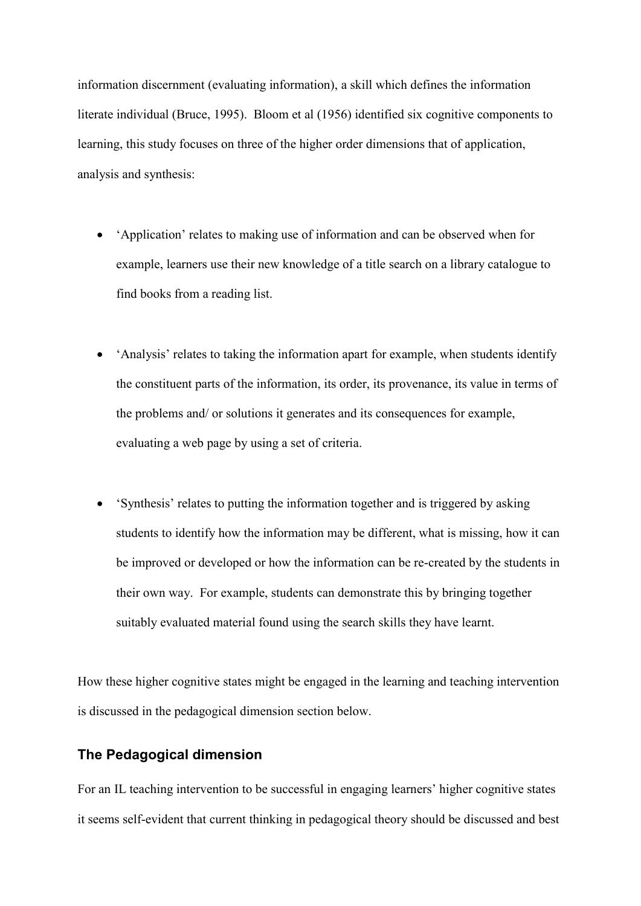information discernment (evaluating information), a skill which defines the information literate individual (Bruce, 1995). Bloom et al (1956) identified six cognitive components to learning, this study focuses on three of the higher order dimensions that of application, analysis and synthesis:

- 'Application' relates to making use of information and can be observed when for example, learners use their new knowledge of a title search on a library catalogue to find books from a reading list.
- 'Analysis' relates to taking the information apart for example, when students identify the constituent parts of the information, its order, its provenance, its value in terms of the problems and/ or solutions it generates and its consequences for example, evaluating a web page by using a set of criteria.
- 'Synthesis' relates to putting the information together and is triggered by asking students to identify how the information may be different, what is missing, how it can be improved or developed or how the information can be re-created by the students in their own way. For example, students can demonstrate this by bringing together suitably evaluated material found using the search skills they have learnt.

How these higher cognitive states might be engaged in the learning and teaching intervention is discussed in the pedagogical dimension section below.

## **The Pedagogical dimension**

For an IL teaching intervention to be successful in engaging learners' higher cognitive states it seems self-evident that current thinking in pedagogical theory should be discussed and best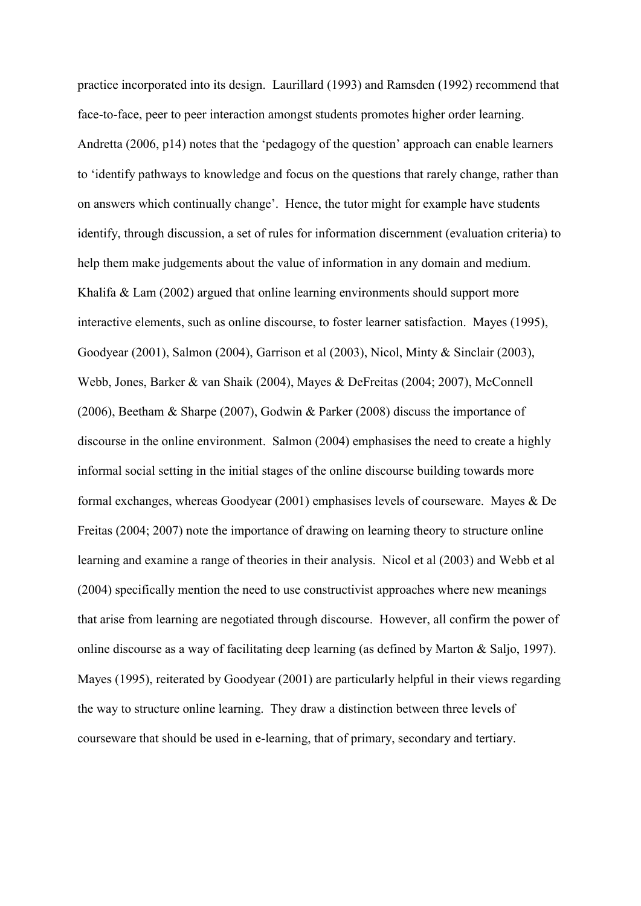practice incorporated into its design. Laurillard (1993) and Ramsden (1992) recommend that face-to-face, peer to peer interaction amongst students promotes higher order learning. Andretta (2006, p14) notes that the 'pedagogy of the question' approach can enable learners to 'identify pathways to knowledge and focus on the questions that rarely change, rather than on answers which continually change'. Hence, the tutor might for example have students identify, through discussion, a set of rules for information discernment (evaluation criteria) to help them make judgements about the value of information in any domain and medium. Khalifa & Lam (2002) argued that online learning environments should support more interactive elements, such as online discourse, to foster learner satisfaction. Mayes (1995), Goodyear (2001), Salmon (2004), Garrison et al (2003), Nicol, Minty & Sinclair (2003), Webb, Jones, Barker & van Shaik (2004), Mayes & DeFreitas (2004; 2007), McConnell (2006), Beetham & Sharpe (2007), Godwin & Parker (2008) discuss the importance of discourse in the online environment. Salmon (2004) emphasises the need to create a highly informal social setting in the initial stages of the online discourse building towards more formal exchanges, whereas Goodyear (2001) emphasises levels of courseware. Mayes & De Freitas (2004; 2007) note the importance of drawing on learning theory to structure online learning and examine a range of theories in their analysis. Nicol et al (2003) and Webb et al (2004) specifically mention the need to use constructivist approaches where new meanings that arise from learning are negotiated through discourse. However, all confirm the power of online discourse as a way of facilitating deep learning (as defined by Marton & Saljo, 1997). Mayes (1995), reiterated by Goodyear (2001) are particularly helpful in their views regarding the way to structure online learning. They draw a distinction between three levels of courseware that should be used in e-learning, that of primary, secondary and tertiary.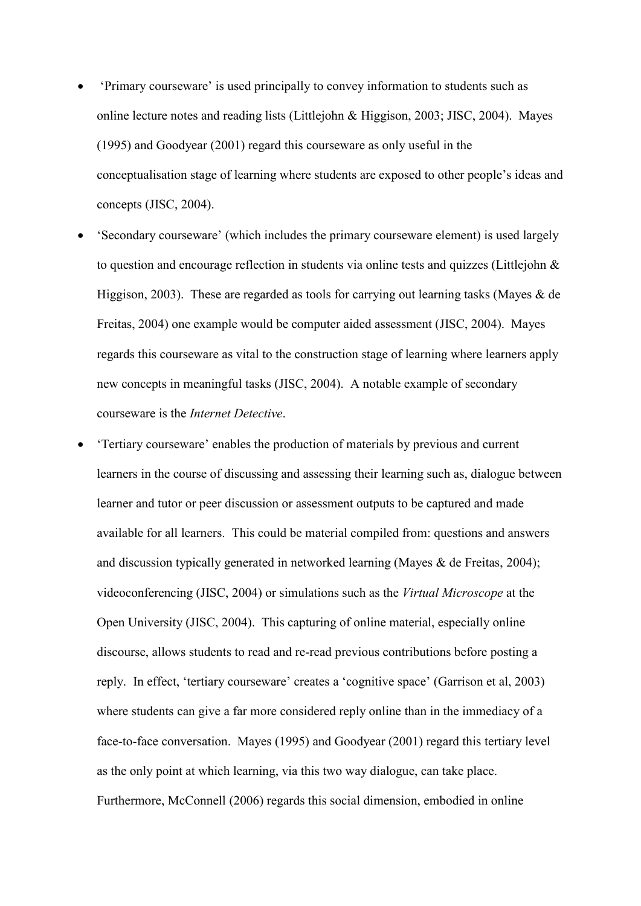- 'Primary courseware' is used principally to convey information to students such as online lecture notes and reading lists (Littlejohn & Higgison, 2003; JISC, 2004). Mayes (1995) and Goodyear (2001) regard this courseware as only useful in the conceptualisation stage of learning where students are exposed to other people's ideas and concepts (JISC, 2004).
- 'Secondary courseware' (which includes the primary courseware element) is used largely to question and encourage reflection in students via online tests and quizzes (Littlejohn & Higgison, 2003). These are regarded as tools for carrying out learning tasks (Mayes  $\&$  de Freitas, 2004) one example would be computer aided assessment (JISC, 2004). Mayes regards this courseware as vital to the construction stage of learning where learners apply new concepts in meaningful tasks (JISC, 2004). A notable example of secondary courseware is the *Internet Detective*.
- 'Tertiary courseware' enables the production of materials by previous and current learners in the course of discussing and assessing their learning such as, dialogue between learner and tutor or peer discussion or assessment outputs to be captured and made available for all learners. This could be material compiled from: questions and answers and discussion typically generated in networked learning (Mayes & de Freitas, 2004); videoconferencing (JISC, 2004) or simulations such as the *Virtual Microscope* at the Open University (JISC, 2004). This capturing of online material, especially online discourse, allows students to read and re-read previous contributions before posting a reply. In effect, 'tertiary courseware' creates a 'cognitive space' (Garrison et al, 2003) where students can give a far more considered reply online than in the immediacy of a face-to-face conversation. Mayes (1995) and Goodyear (2001) regard this tertiary level as the only point at which learning, via this two way dialogue, can take place. Furthermore, McConnell (2006) regards this social dimension, embodied in online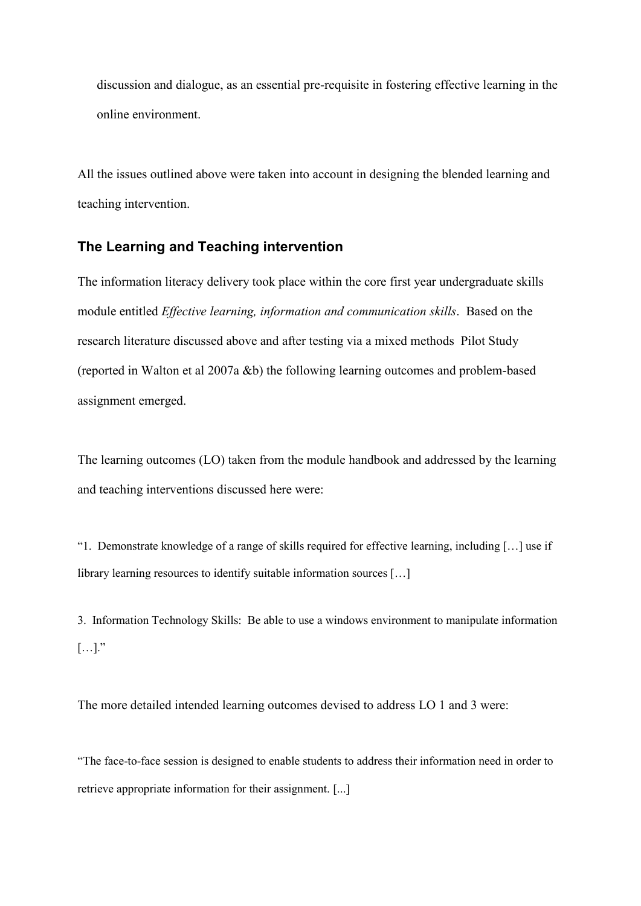discussion and dialogue, as an essential pre-requisite in fostering effective learning in the online environment.

All the issues outlined above were taken into account in designing the blended learning and teaching intervention.

## **The Learning and Teaching intervention**

The information literacy delivery took place within the core first year undergraduate skills module entitled *Effective learning, information and communication skills*. Based on the research literature discussed above and after testing via a mixed methods Pilot Study (reported in Walton et al 2007a &b) the following learning outcomes and problem-based assignment emerged.

The learning outcomes (LO) taken from the module handbook and addressed by the learning and teaching interventions discussed here were:

"1. Demonstrate knowledge of a range of skills required for effective learning, including […] use if library learning resources to identify suitable information sources […]

3. Information Technology Skills: Be able to use a windows environment to manipulate information  $[\ldots]$ ."

The more detailed intended learning outcomes devised to address LO 1 and 3 were:

"The face-to-face session is designed to enable students to address their information need in order to retrieve appropriate information for their assignment. [...]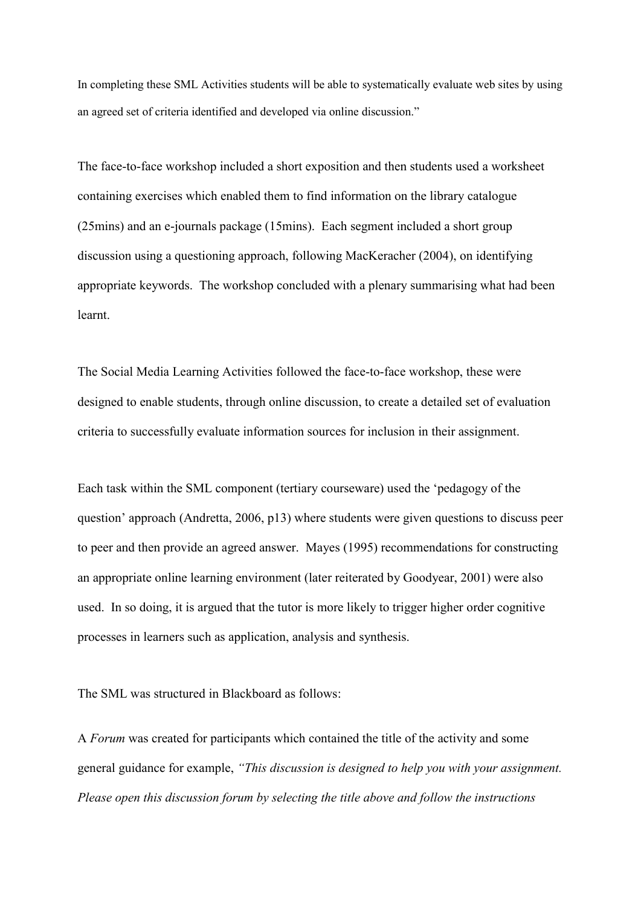In completing these SML Activities students will be able to systematically evaluate web sites by using an agreed set of criteria identified and developed via online discussion."

The face-to-face workshop included a short exposition and then students used a worksheet containing exercises which enabled them to find information on the library catalogue (25mins) and an e-journals package (15mins). Each segment included a short group discussion using a questioning approach, following MacKeracher (2004), on identifying appropriate keywords. The workshop concluded with a plenary summarising what had been learnt.

The Social Media Learning Activities followed the face-to-face workshop, these were designed to enable students, through online discussion, to create a detailed set of evaluation criteria to successfully evaluate information sources for inclusion in their assignment.

Each task within the SML component (tertiary courseware) used the 'pedagogy of the question' approach (Andretta, 2006, p13) where students were given questions to discuss peer to peer and then provide an agreed answer. Mayes (1995) recommendations for constructing an appropriate online learning environment (later reiterated by Goodyear, 2001) were also used. In so doing, it is argued that the tutor is more likely to trigger higher order cognitive processes in learners such as application, analysis and synthesis.

The SML was structured in Blackboard as follows:

A *Forum* was created for participants which contained the title of the activity and some general guidance for example, *"This discussion is designed to help you with your assignment. Please open this discussion forum by selecting the title above and follow the instructions*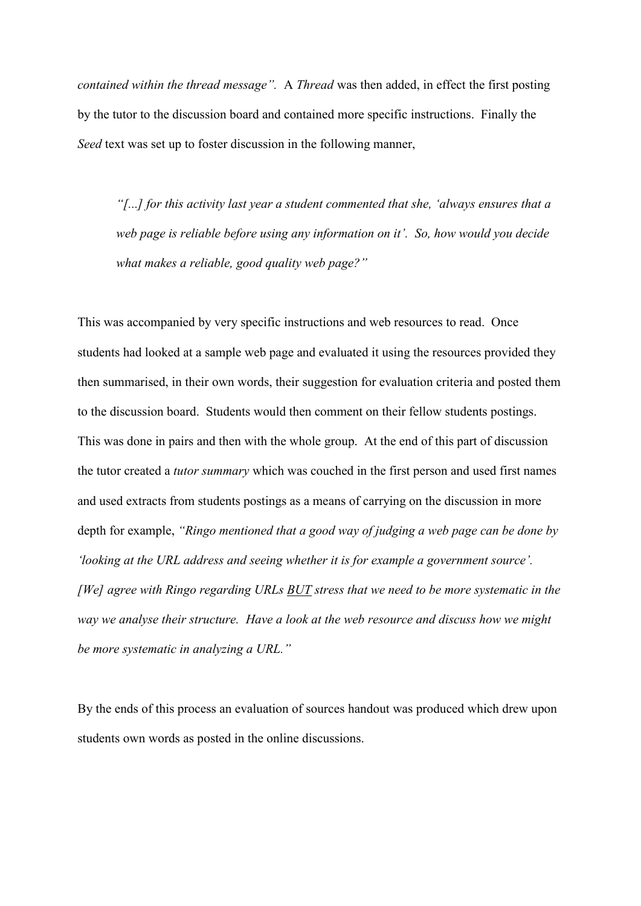*contained within the thread message".* A *Thread* was then added, in effect the first posting by the tutor to the discussion board and contained more specific instructions. Finally the *Seed* text was set up to foster discussion in the following manner,

*"[...] for this activity last year a student commented that she, 'always ensures that a web page is reliable before using any information on it'. So, how would you decide what makes a reliable, good quality web page?"*

This was accompanied by very specific instructions and web resources to read. Once students had looked at a sample web page and evaluated it using the resources provided they then summarised, in their own words, their suggestion for evaluation criteria and posted them to the discussion board. Students would then comment on their fellow students postings. This was done in pairs and then with the whole group. At the end of this part of discussion the tutor created a *tutor summary* which was couched in the first person and used first names and used extracts from students postings as a means of carrying on the discussion in more depth for example, *"Ringo mentioned that a good way of judging a web page can be done by 'looking at the URL address and seeing whether it is for example a government source'. [We] agree with Ringo regarding URLs BUT stress that we need to be more systematic in the way we analyse their structure. Have a look at the web resource and discuss how we might be more systematic in analyzing a URL."*

By the ends of this process an evaluation of sources handout was produced which drew upon students own words as posted in the online discussions.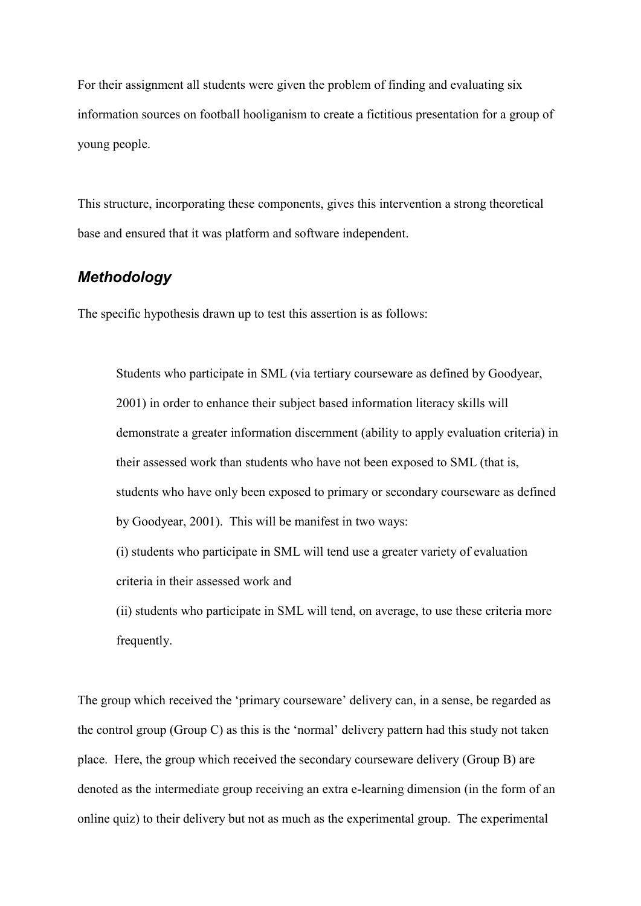For their assignment all students were given the problem of finding and evaluating six information sources on football hooliganism to create a fictitious presentation for a group of young people.

This structure, incorporating these components, gives this intervention a strong theoretical base and ensured that it was platform and software independent.

# *Methodology*

The specific hypothesis drawn up to test this assertion is as follows:

Students who participate in SML (via tertiary courseware as defined by Goodyear, 2001) in order to enhance their subject based information literacy skills will demonstrate a greater information discernment (ability to apply evaluation criteria) in their assessed work than students who have not been exposed to SML (that is, students who have only been exposed to primary or secondary courseware as defined by Goodyear, 2001). This will be manifest in two ways:

(i) students who participate in SML will tend use a greater variety of evaluation criteria in their assessed work and

(ii) students who participate in SML will tend, on average, to use these criteria more frequently.

The group which received the 'primary courseware' delivery can, in a sense, be regarded as the control group (Group C) as this is the 'normal' delivery pattern had this study not taken place. Here, the group which received the secondary courseware delivery (Group B) are denoted as the intermediate group receiving an extra e-learning dimension (in the form of an online quiz) to their delivery but not as much as the experimental group. The experimental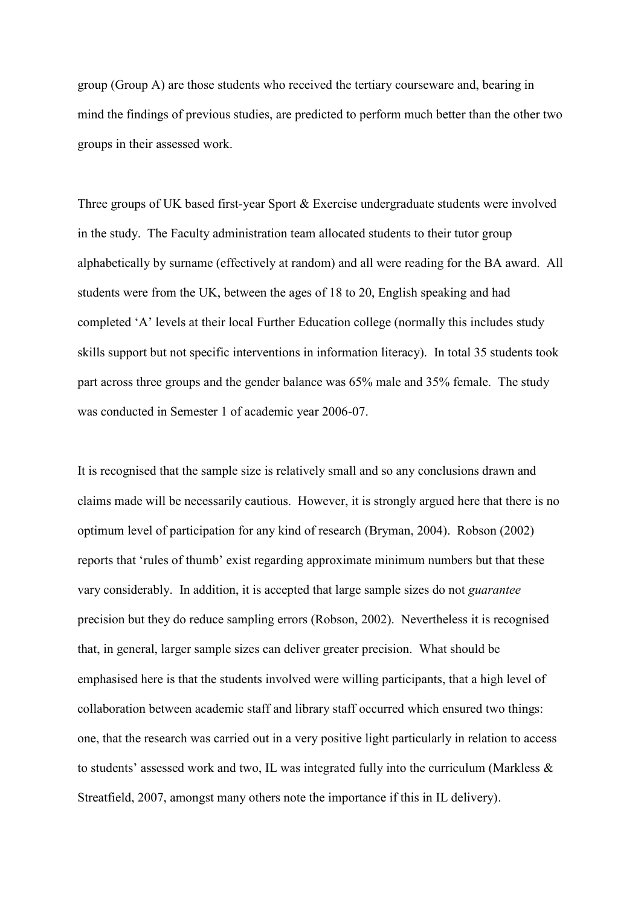group (Group A) are those students who received the tertiary courseware and, bearing in mind the findings of previous studies, are predicted to perform much better than the other two groups in their assessed work.

Three groups of UK based first-year Sport & Exercise undergraduate students were involved in the study. The Faculty administration team allocated students to their tutor group alphabetically by surname (effectively at random) and all were reading for the BA award. All students were from the UK, between the ages of 18 to 20, English speaking and had completed 'A' levels at their local Further Education college (normally this includes study skills support but not specific interventions in information literacy). In total 35 students took part across three groups and the gender balance was 65% male and 35% female. The study was conducted in Semester 1 of academic year 2006-07.

It is recognised that the sample size is relatively small and so any conclusions drawn and claims made will be necessarily cautious. However, it is strongly argued here that there is no optimum level of participation for any kind of research (Bryman, 2004). Robson (2002) reports that 'rules of thumb' exist regarding approximate minimum numbers but that these vary considerably. In addition, it is accepted that large sample sizes do not *guarantee* precision but they do reduce sampling errors (Robson, 2002). Nevertheless it is recognised that, in general, larger sample sizes can deliver greater precision. What should be emphasised here is that the students involved were willing participants, that a high level of collaboration between academic staff and library staff occurred which ensured two things: one, that the research was carried out in a very positive light particularly in relation to access to students' assessed work and two, IL was integrated fully into the curriculum (Markless & Streatfield, 2007, amongst many others note the importance if this in IL delivery).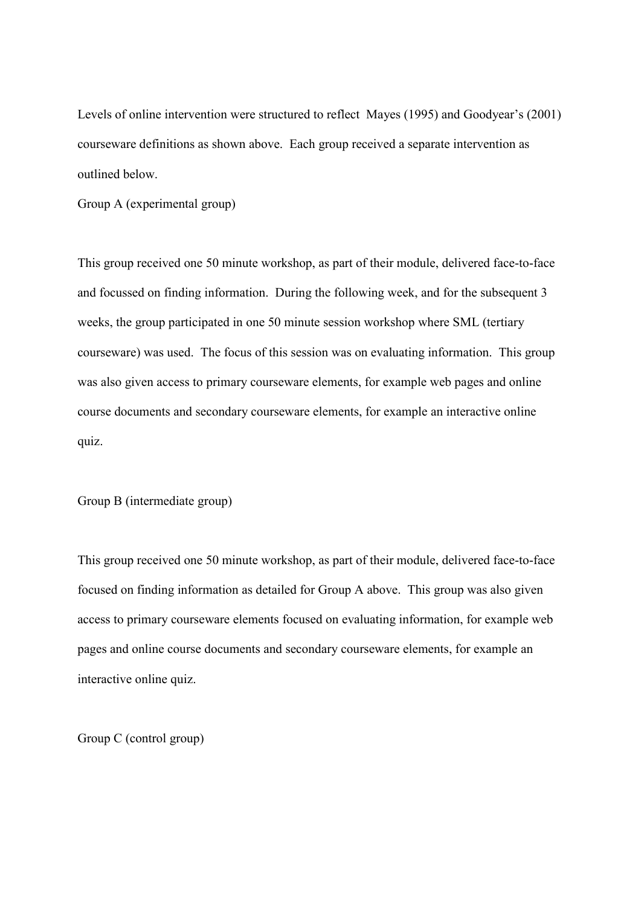Levels of online intervention were structured to reflect Mayes (1995) and Goodyear's (2001) courseware definitions as shown above. Each group received a separate intervention as outlined below.

Group A (experimental group)

This group received one 50 minute workshop, as part of their module, delivered face-to-face and focussed on finding information. During the following week, and for the subsequent 3 weeks, the group participated in one 50 minute session workshop where SML (tertiary courseware) was used. The focus of this session was on evaluating information. This group was also given access to primary courseware elements, for example web pages and online course documents and secondary courseware elements, for example an interactive online quiz.

Group B (intermediate group)

This group received one 50 minute workshop, as part of their module, delivered face-to-face focused on finding information as detailed for Group A above. This group was also given access to primary courseware elements focused on evaluating information, for example web pages and online course documents and secondary courseware elements, for example an interactive online quiz.

Group C (control group)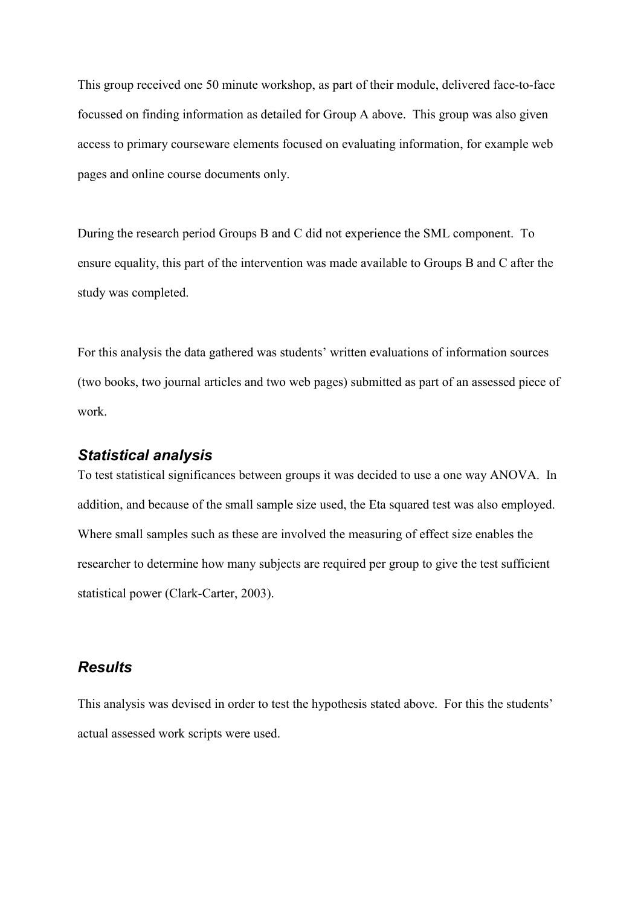This group received one 50 minute workshop, as part of their module, delivered face-to-face focussed on finding information as detailed for Group A above. This group was also given access to primary courseware elements focused on evaluating information, for example web pages and online course documents only.

During the research period Groups B and C did not experience the SML component. To ensure equality, this part of the intervention was made available to Groups B and C after the study was completed.

For this analysis the data gathered was students' written evaluations of information sources (two books, two journal articles and two web pages) submitted as part of an assessed piece of work.

## *Statistical analysis*

To test statistical significances between groups it was decided to use a one way ANOVA. In addition, and because of the small sample size used, the Eta squared test was also employed. Where small samples such as these are involved the measuring of effect size enables the researcher to determine how many subjects are required per group to give the test sufficient statistical power (Clark-Carter, 2003).

# *Results*

This analysis was devised in order to test the hypothesis stated above. For this the students' actual assessed work scripts were used.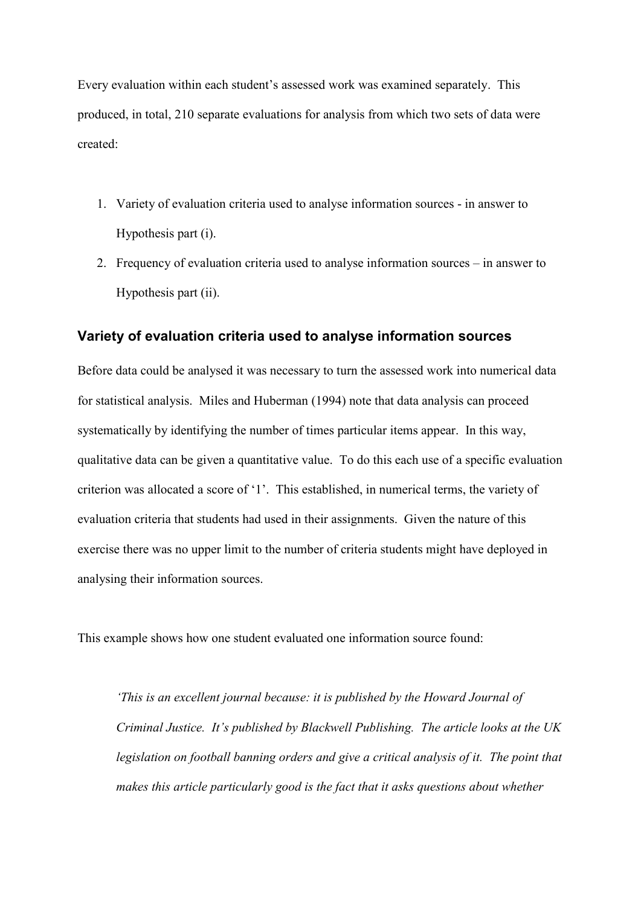Every evaluation within each student's assessed work was examined separately. This produced, in total, 210 separate evaluations for analysis from which two sets of data were created:

- 1. Variety of evaluation criteria used to analyse information sources in answer to Hypothesis part (i).
- 2. Frequency of evaluation criteria used to analyse information sources in answer to Hypothesis part (ii).

## **Variety of evaluation criteria used to analyse information sources**

Before data could be analysed it was necessary to turn the assessed work into numerical data for statistical analysis. Miles and Huberman (1994) note that data analysis can proceed systematically by identifying the number of times particular items appear. In this way, qualitative data can be given a quantitative value. To do this each use of a specific evaluation criterion was allocated a score of '1'. This established, in numerical terms, the variety of evaluation criteria that students had used in their assignments. Given the nature of this exercise there was no upper limit to the number of criteria students might have deployed in analysing their information sources.

This example shows how one student evaluated one information source found:

*'This is an excellent journal because: it is published by the Howard Journal of Criminal Justice. It's published by Blackwell Publishing. The article looks at the UK legislation on football banning orders and give a critical analysis of it. The point that makes this article particularly good is the fact that it asks questions about whether*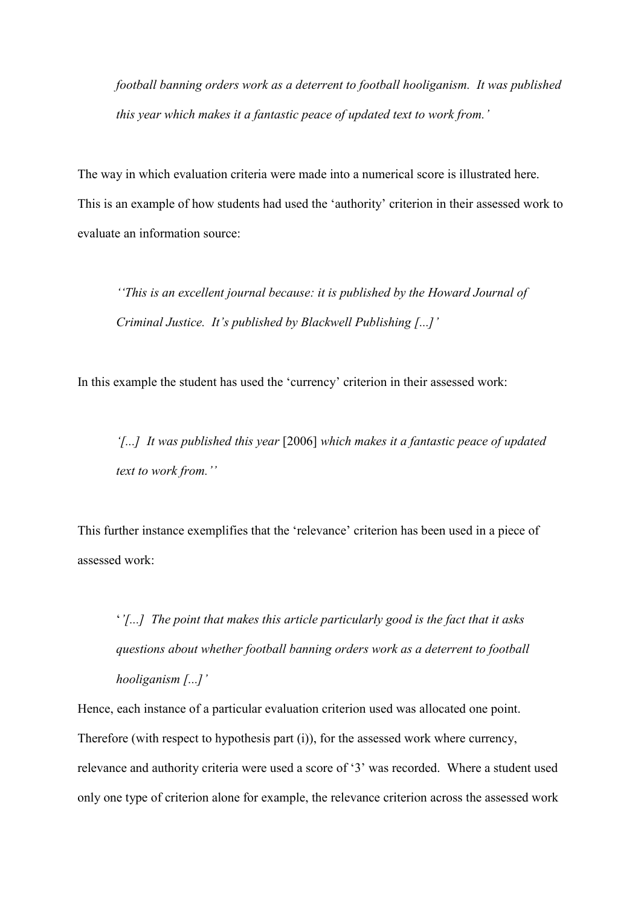*football banning orders work as a deterrent to football hooliganism. It was published this year which makes it a fantastic peace of updated text to work from.'*

The way in which evaluation criteria were made into a numerical score is illustrated here. This is an example of how students had used the 'authority' criterion in their assessed work to evaluate an information source:

*''This is an excellent journal because: it is published by the Howard Journal of Criminal Justice. It's published by Blackwell Publishing [...]'*

In this example the student has used the 'currency' criterion in their assessed work:

*'[...] It was published this year* [2006] *which makes it a fantastic peace of updated text to work from.''*

This further instance exemplifies that the 'relevance' criterion has been used in a piece of assessed work:

'*'[...] The point that makes this article particularly good is the fact that it asks questions about whether football banning orders work as a deterrent to football hooliganism [...]'*

Hence, each instance of a particular evaluation criterion used was allocated one point. Therefore (with respect to hypothesis part (i)), for the assessed work where currency, relevance and authority criteria were used a score of '3' was recorded. Where a student used only one type of criterion alone for example, the relevance criterion across the assessed work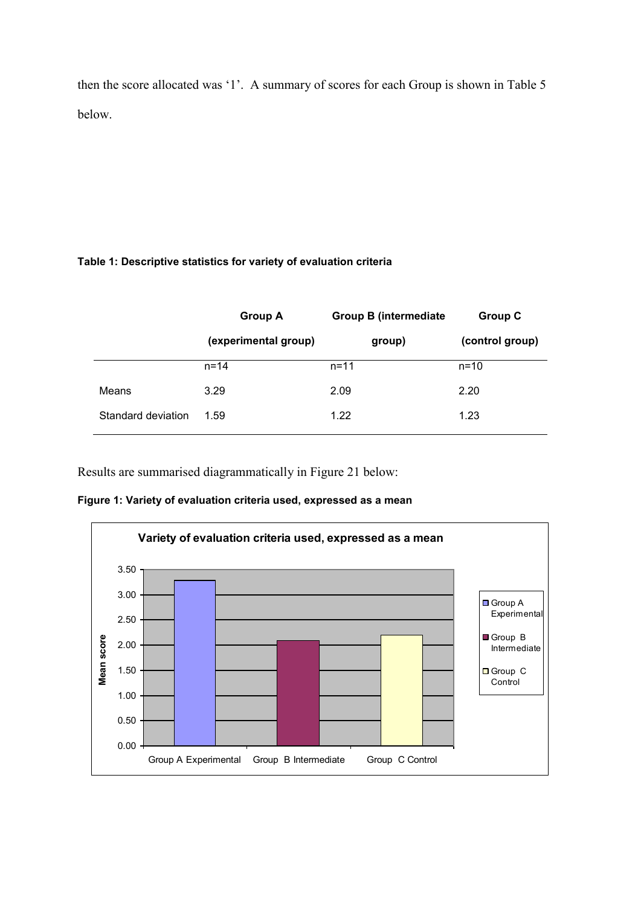then the score allocated was '1'. A summary of scores for each Group is shown in Table 5 below.

## **Table 1: Descriptive statistics for variety of evaluation criteria**

|                    | <b>Group A</b>       | <b>Group B (intermediate)</b> | <b>Group C</b>  |
|--------------------|----------------------|-------------------------------|-----------------|
|                    | (experimental group) | group)                        | (control group) |
|                    | $n = 14$             | $n = 11$                      | $n = 10$        |
| Means              | 3.29                 | 2.09                          | 2.20            |
| Standard deviation | 1.59                 | 1.22                          | 1.23            |

Results are summarised diagrammatically in Figure 21 below:

**Figure 1: Variety of evaluation criteria used, expressed as a mean** 

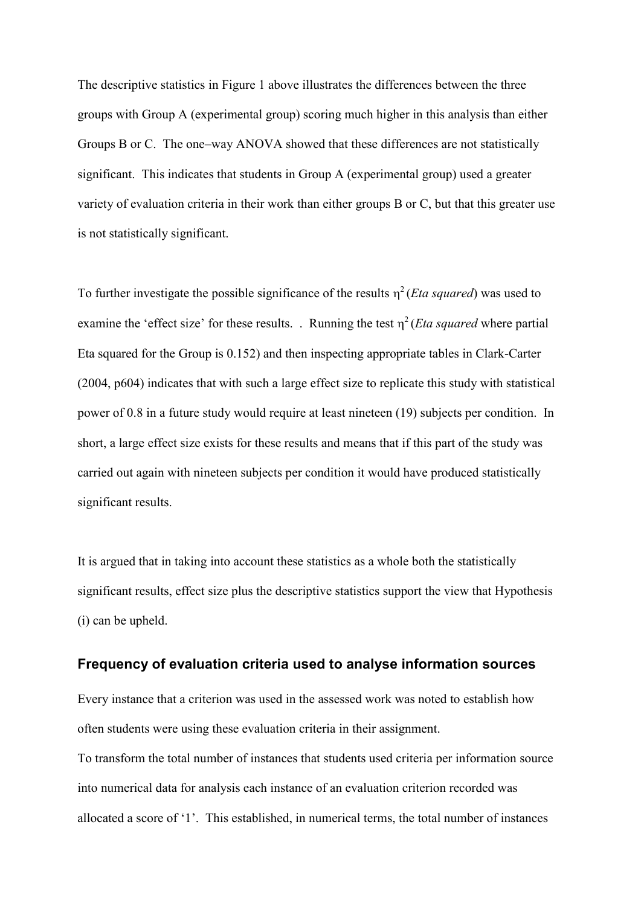The descriptive statistics in Figure 1 above illustrates the differences between the three groups with Group A (experimental group) scoring much higher in this analysis than either Groups B or C. The one–way ANOVA showed that these differences are not statistically significant. This indicates that students in Group A (experimental group) used a greater variety of evaluation criteria in their work than either groups B or C, but that this greater use is not statistically significant.

To further investigate the possible significance of the results  $\eta^2$  (*Eta squared*) was used to examine the 'effect size' for these results. . Running the test  $\eta^2$  (*Eta squared* where partial Eta squared for the Group is 0.152) and then inspecting appropriate tables in Clark-Carter (2004, p604) indicates that with such a large effect size to replicate this study with statistical power of 0.8 in a future study would require at least nineteen (19) subjects per condition. In short, a large effect size exists for these results and means that if this part of the study was carried out again with nineteen subjects per condition it would have produced statistically significant results.

It is argued that in taking into account these statistics as a whole both the statistically significant results, effect size plus the descriptive statistics support the view that Hypothesis (i) can be upheld.

#### **Frequency of evaluation criteria used to analyse information sources**

Every instance that a criterion was used in the assessed work was noted to establish how often students were using these evaluation criteria in their assignment.

To transform the total number of instances that students used criteria per information source into numerical data for analysis each instance of an evaluation criterion recorded was allocated a score of '1'. This established, in numerical terms, the total number of instances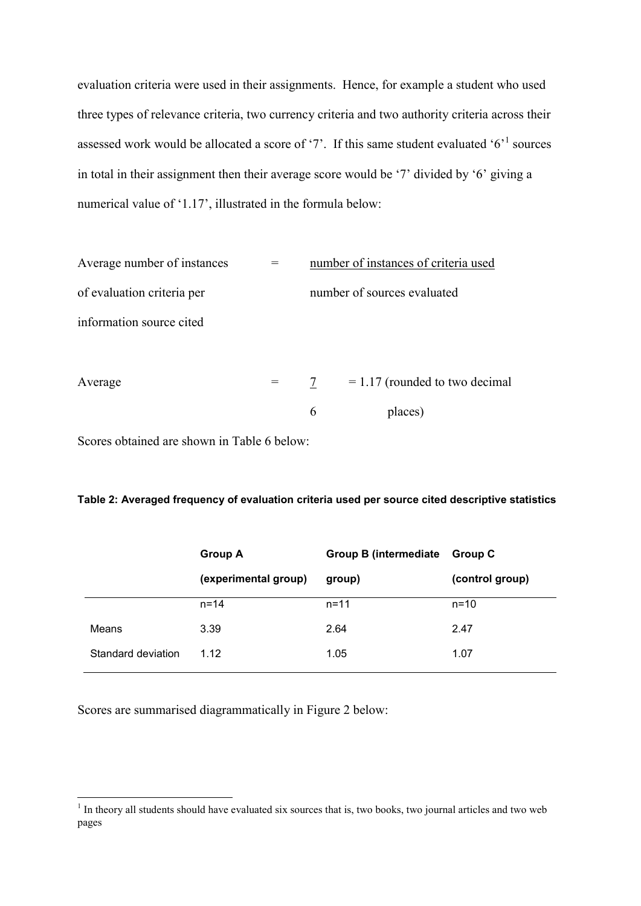evaluation criteria were used in their assignments. Hence, for example a student who used three types of relevance criteria, two currency criteria and two authority criteria across their assessed work would be allocated a score of '7'. If this same student evaluated ' $6$ <sup>'1</sup> sources in total in their assignment then their average score would be '7' divided by '6' giving a numerical value of '1.17', illustrated in the formula below:

| Average number of instances | number of instances of criteria used  |  |
|-----------------------------|---------------------------------------|--|
| of evaluation criteria per  | number of sources evaluated           |  |
| information source cited    |                                       |  |
| Average                     | $= 1.17$ (rounded to two decimal<br>7 |  |
|                             | 6<br>places)                          |  |

Scores obtained are shown in Table 6 below:

#### **Table 2: Averaged frequency of evaluation criteria used per source cited descriptive statistics**

|                    | <b>Group A</b>       | <b>Group B (intermediate)</b> | <b>Group C</b>  |
|--------------------|----------------------|-------------------------------|-----------------|
|                    | (experimental group) | group)                        | (control group) |
|                    | $n = 14$             | $n = 11$                      | $n = 10$        |
| Means              | 3.39                 | 2.64                          | 2.47            |
| Standard deviation | 1.12                 | 1.05                          | 1.07            |

Scores are summarised diagrammatically in Figure 2 below:

<sup>&</sup>lt;sup>1</sup> In theory all students should have evaluated six sources that is, two books, two journal articles and two web pages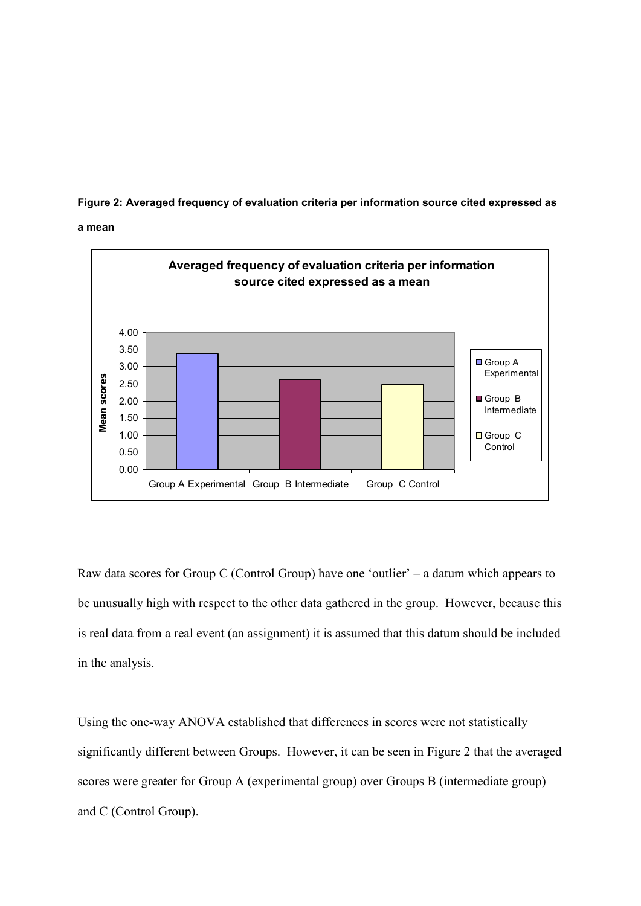**Figure 2: Averaged frequency of evaluation criteria per information source cited expressed as** 





Raw data scores for Group C (Control Group) have one 'outlier' – a datum which appears to be unusually high with respect to the other data gathered in the group. However, because this is real data from a real event (an assignment) it is assumed that this datum should be included in the analysis.

Using the one-way ANOVA established that differences in scores were not statistically significantly different between Groups. However, it can be seen in Figure 2 that the averaged scores were greater for Group A (experimental group) over Groups B (intermediate group) and C (Control Group).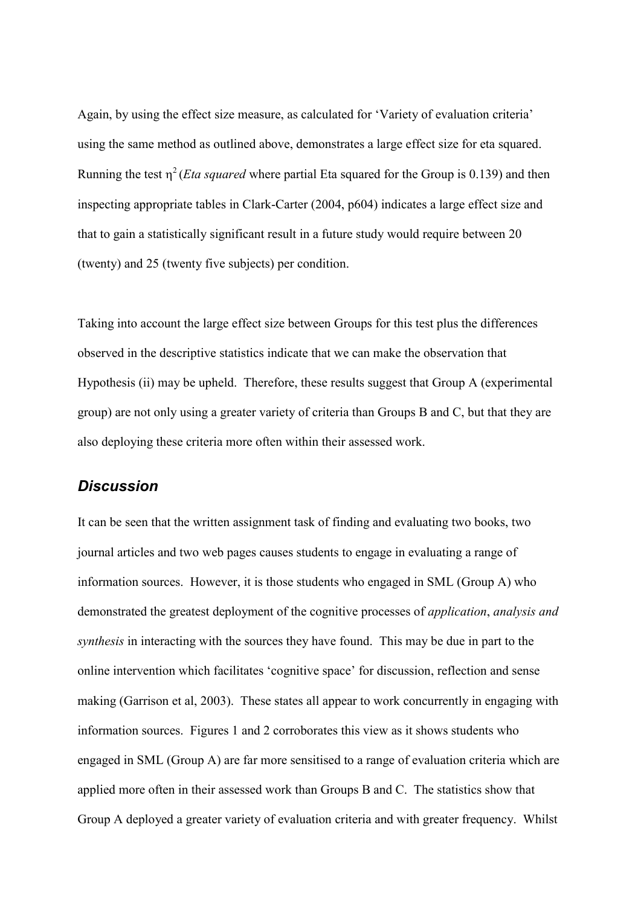Again, by using the effect size measure, as calculated for 'Variety of evaluation criteria' using the same method as outlined above, demonstrates a large effect size for eta squared. Running the test  $\eta^2$  (*Eta squared* where partial Eta squared for the Group is 0.139) and then inspecting appropriate tables in Clark-Carter (2004, p604) indicates a large effect size and that to gain a statistically significant result in a future study would require between 20 (twenty) and 25 (twenty five subjects) per condition.

Taking into account the large effect size between Groups for this test plus the differences observed in the descriptive statistics indicate that we can make the observation that Hypothesis (ii) may be upheld. Therefore, these results suggest that Group A (experimental group) are not only using a greater variety of criteria than Groups B and C, but that they are also deploying these criteria more often within their assessed work.

## *Discussion*

It can be seen that the written assignment task of finding and evaluating two books, two journal articles and two web pages causes students to engage in evaluating a range of information sources. However, it is those students who engaged in SML (Group A) who demonstrated the greatest deployment of the cognitive processes of *application*, *analysis and synthesis* in interacting with the sources they have found. This may be due in part to the online intervention which facilitates 'cognitive space' for discussion, reflection and sense making (Garrison et al, 2003). These states all appear to work concurrently in engaging with information sources. Figures 1 and 2 corroborates this view as it shows students who engaged in SML (Group A) are far more sensitised to a range of evaluation criteria which are applied more often in their assessed work than Groups B and C. The statistics show that Group A deployed a greater variety of evaluation criteria and with greater frequency. Whilst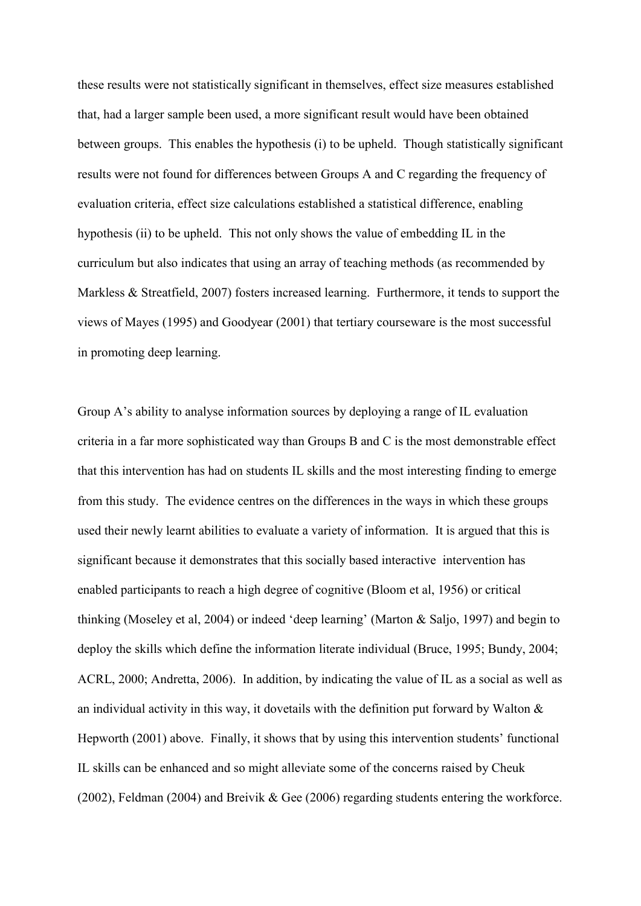these results were not statistically significant in themselves, effect size measures established that, had a larger sample been used, a more significant result would have been obtained between groups. This enables the hypothesis (i) to be upheld. Though statistically significant results were not found for differences between Groups A and C regarding the frequency of evaluation criteria, effect size calculations established a statistical difference, enabling hypothesis (ii) to be upheld. This not only shows the value of embedding IL in the curriculum but also indicates that using an array of teaching methods (as recommended by Markless & Streatfield, 2007) fosters increased learning. Furthermore, it tends to support the views of Mayes (1995) and Goodyear (2001) that tertiary courseware is the most successful in promoting deep learning.

Group A's ability to analyse information sources by deploying a range of IL evaluation criteria in a far more sophisticated way than Groups B and C is the most demonstrable effect that this intervention has had on students IL skills and the most interesting finding to emerge from this study. The evidence centres on the differences in the ways in which these groups used their newly learnt abilities to evaluate a variety of information. It is argued that this is significant because it demonstrates that this socially based interactive intervention has enabled participants to reach a high degree of cognitive (Bloom et al, 1956) or critical thinking (Moseley et al, 2004) or indeed 'deep learning' (Marton & Saljo, 1997) and begin to deploy the skills which define the information literate individual (Bruce, 1995; Bundy, 2004; ACRL, 2000; Andretta, 2006). In addition, by indicating the value of IL as a social as well as an individual activity in this way, it dovetails with the definition put forward by Walton  $\&$ Hepworth (2001) above. Finally, it shows that by using this intervention students' functional IL skills can be enhanced and so might alleviate some of the concerns raised by Cheuk (2002), Feldman (2004) and Breivik & Gee (2006) regarding students entering the workforce.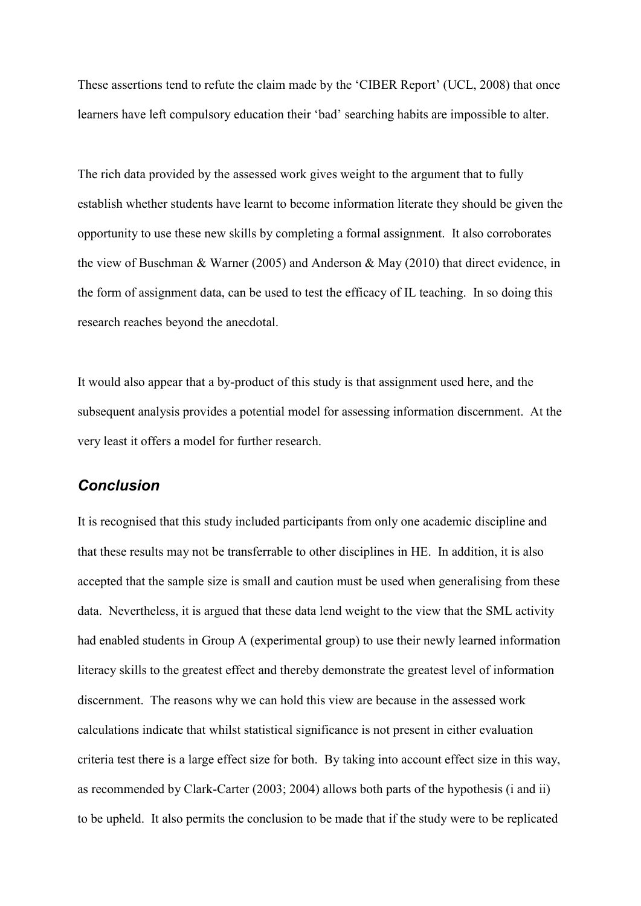These assertions tend to refute the claim made by the 'CIBER Report' (UCL, 2008) that once learners have left compulsory education their 'bad' searching habits are impossible to alter.

The rich data provided by the assessed work gives weight to the argument that to fully establish whether students have learnt to become information literate they should be given the opportunity to use these new skills by completing a formal assignment. It also corroborates the view of Buschman & Warner (2005) and Anderson & May (2010) that direct evidence, in the form of assignment data, can be used to test the efficacy of IL teaching. In so doing this research reaches beyond the anecdotal.

It would also appear that a by-product of this study is that assignment used here, and the subsequent analysis provides a potential model for assessing information discernment. At the very least it offers a model for further research.

## *Conclusion*

It is recognised that this study included participants from only one academic discipline and that these results may not be transferrable to other disciplines in HE. In addition, it is also accepted that the sample size is small and caution must be used when generalising from these data. Nevertheless, it is argued that these data lend weight to the view that the SML activity had enabled students in Group A (experimental group) to use their newly learned information literacy skills to the greatest effect and thereby demonstrate the greatest level of information discernment. The reasons why we can hold this view are because in the assessed work calculations indicate that whilst statistical significance is not present in either evaluation criteria test there is a large effect size for both. By taking into account effect size in this way, as recommended by Clark-Carter (2003; 2004) allows both parts of the hypothesis (i and ii) to be upheld. It also permits the conclusion to be made that if the study were to be replicated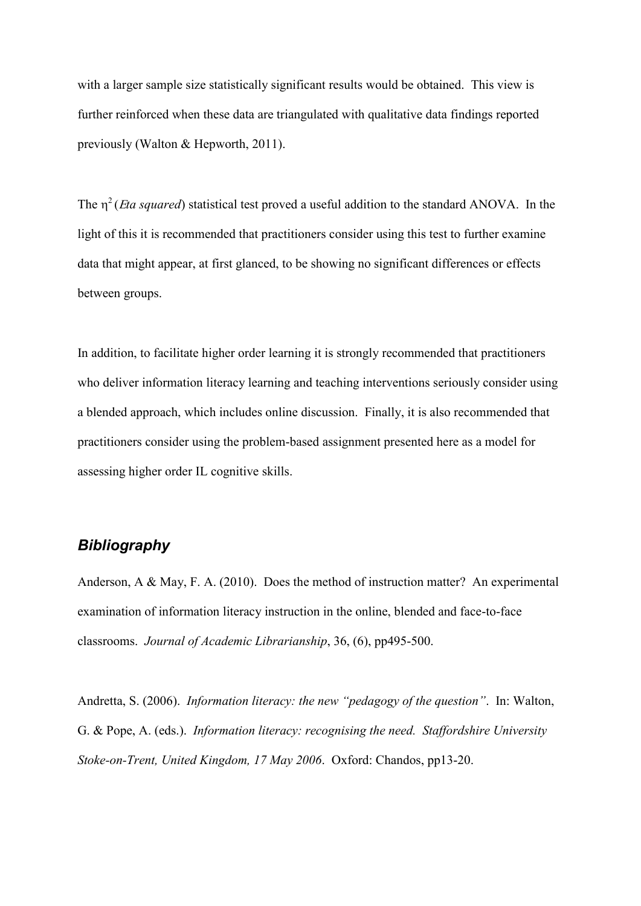with a larger sample size statistically significant results would be obtained. This view is further reinforced when these data are triangulated with qualitative data findings reported previously (Walton & Hepworth, 2011).

The  $\eta^2$  (*Eta squared*) statistical test proved a useful addition to the standard ANOVA. In the light of this it is recommended that practitioners consider using this test to further examine data that might appear, at first glanced, to be showing no significant differences or effects between groups.

In addition, to facilitate higher order learning it is strongly recommended that practitioners who deliver information literacy learning and teaching interventions seriously consider using a blended approach, which includes online discussion. Finally, it is also recommended that practitioners consider using the problem-based assignment presented here as a model for assessing higher order IL cognitive skills.

# *Bibliography*

Anderson, A & May, F. A. (2010). Does the method of instruction matter? An experimental examination of information literacy instruction in the online, blended and face-to-face classrooms. *Journal of Academic Librarianship*, 36, (6), pp495-500.

Andretta, S. (2006). *Information literacy: the new "pedagogy of the question"*. In: Walton, G. & Pope, A. (eds.). *Information literacy: recognising the need. Staffordshire University Stoke-on-Trent, United Kingdom, 17 May 2006*. Oxford: Chandos, pp13-20.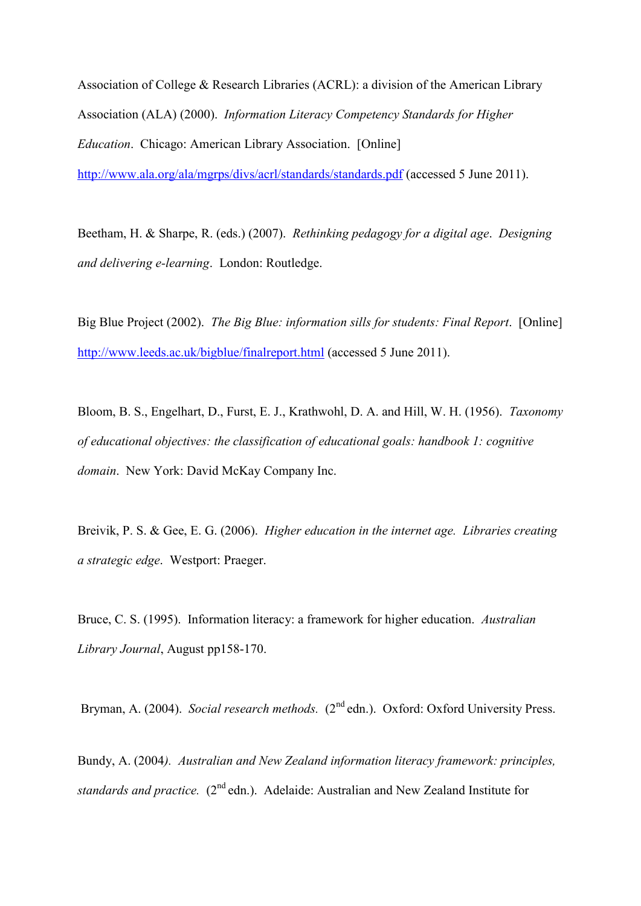Association of College & Research Libraries (ACRL): a division of the American Library Association (ALA) (2000). *Information Literacy Competency Standards for Higher Education*. Chicago: American Library Association. [Online] <http://www.ala.org/ala/mgrps/divs/acrl/standards/standards.pdf>(accessed 5 June 2011).

Beetham, H. & Sharpe, R. (eds.) (2007). *Rethinking pedagogy for a digital age*. *Designing and delivering e-learning*. London: Routledge.

Big Blue Project (2002). *The Big Blue: information sills for students: Final Report*. [Online] <http://www.leeds.ac.uk/bigblue/finalreport.html>(accessed 5 June 2011).

Bloom, B. S., Engelhart, D., Furst, E. J., Krathwohl, D. A. and Hill, W. H. (1956). *Taxonomy of educational objectives: the classification of educational goals: handbook 1: cognitive domain*. New York: David McKay Company Inc.

Breivik, P. S. & Gee, E. G. (2006). *Higher education in the internet age. Libraries creating a strategic edge*. Westport: Praeger.

Bruce, C. S. (1995). Information literacy: a framework for higher education. *Australian Library Journal*, August pp158-170.

Bryman, A. (2004). *Social research methods.* (2<sup>nd</sup> edn.). Oxford: Oxford University Press.

Bundy, A. (2004*). Australian and New Zealand information literacy framework: principles, standards and practice.* (2<sup>nd</sup> edn.). Adelaide: Australian and New Zealand Institute for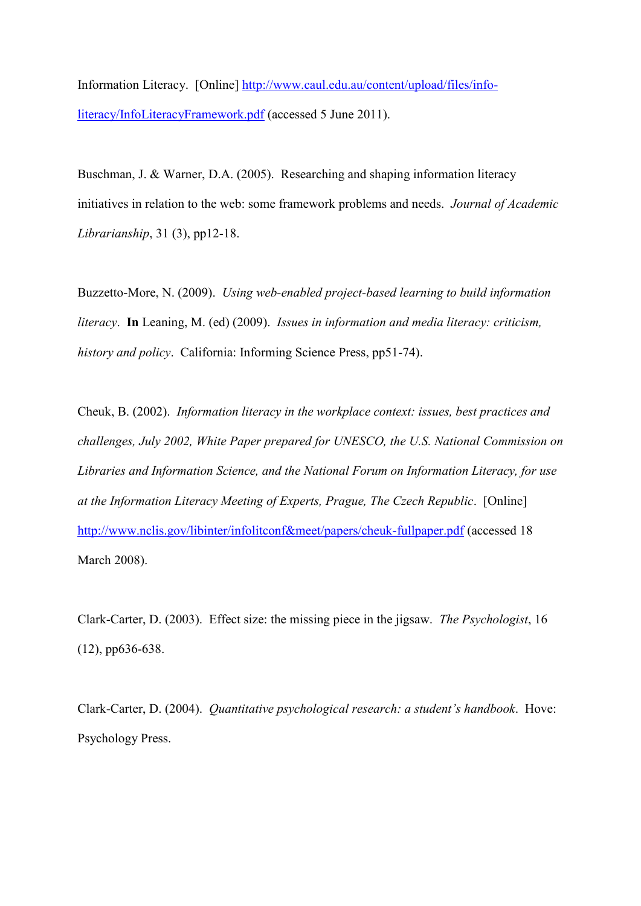Information Literacy. [Online] [http://www.caul.edu.au/content/upload/files/info](http://www.caul.edu.au/content/upload/files/info-literacy/InfoLiteracyFramework.pdf)[literacy/InfoLiteracyFramework.pdf](http://www.caul.edu.au/content/upload/files/info-literacy/InfoLiteracyFramework.pdf) (accessed 5 June 2011).

Buschman, J. & Warner, D.A. (2005). Researching and shaping information literacy initiatives in relation to the web: some framework problems and needs. *Journal of Academic Librarianship*, 31 (3), pp12-18.

Buzzetto-More, N. (2009). *Using web-enabled project-based learning to build information literacy*. **In** Leaning, M. (ed) (2009). *Issues in information and media literacy: criticism, history and policy*. California: Informing Science Press, pp51-74).

Cheuk, B. (2002). *Information literacy in the workplace context: issues, best practices and challenges, July 2002, White Paper prepared for UNESCO, the U.S. National Commission on Libraries and Information Science, and the National Forum on Information Literacy, for use at the Information Literacy Meeting of Experts, Prague, The Czech Republic*. [Online] <http://www.nclis.gov/libinter/infolitconf&meet/papers/cheuk-fullpaper.pdf>(accessed 18 March 2008).

Clark-Carter, D. (2003). Effect size: the missing piece in the jigsaw. *The Psychologist*, 16 (12), pp636-638.

Clark-Carter, D. (2004). *Quantitative psychological research: a student's handbook*. Hove: Psychology Press.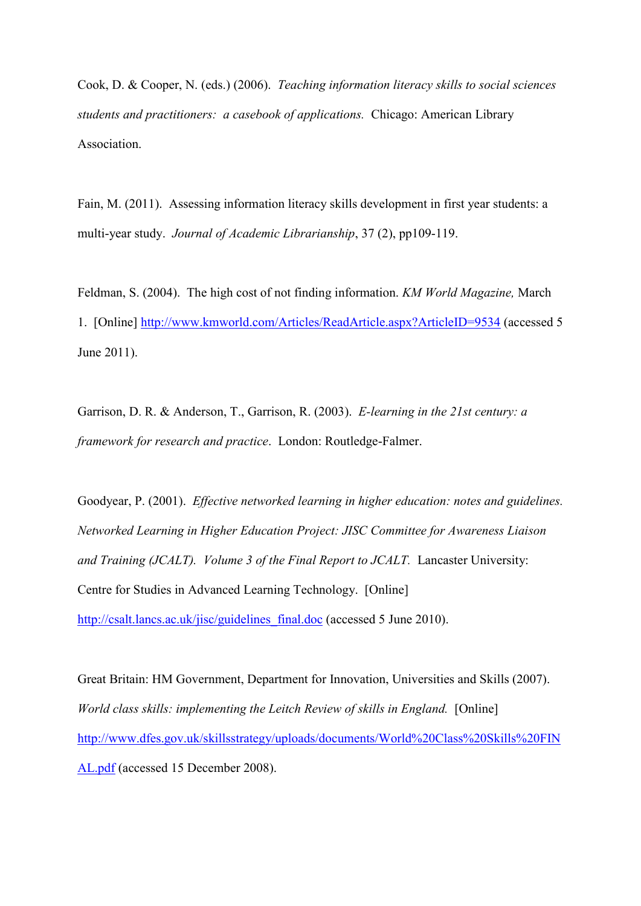Cook, D. & Cooper, N. (eds.) (2006). *Teaching information literacy skills to social sciences students and practitioners: a casebook of applications.* Chicago: American Library Association.

Fain, M. (2011). Assessing information literacy skills development in first year students: a multi-year study. *Journal of Academic Librarianship*, 37 (2), pp109-119.

Feldman, S. (2004). The high cost of not finding information. *KM World Magazine,* March 1. [Online]<http://www.kmworld.com/Articles/ReadArticle.aspx?ArticleID=9534>(accessed 5 June 2011).

Garrison, D. R. & Anderson, T., Garrison, R. (2003). *E-learning in the 21st century: a framework for research and practice*. London: Routledge-Falmer.

Goodyear, P. (2001). *Effective networked learning in higher education: notes and guidelines. Networked Learning in Higher Education Project: JISC Committee for Awareness Liaison and Training (JCALT). Volume 3 of the Final Report to JCALT.* Lancaster University: Centre for Studies in Advanced Learning Technology. [Online] [http://csalt.lancs.ac.uk/jisc/guidelines\\_final.doc](http://csalt.lancs.ac.uk/jisc/guidelines_final.doc) (accessed 5 June 2010).

Great Britain: HM Government, Department for Innovation, Universities and Skills (2007). *World class skills: implementing the Leitch Review of skills in England.* [Online] [http://www.dfes.gov.uk/skillsstrategy/uploads/documents/World%20Class%20Skills%20FIN](http://www.dfes.gov.uk/skillsstrategy/uploads/documents/World%20Class%20Skills%20FINAL.pdf) [AL.pdf](http://www.dfes.gov.uk/skillsstrategy/uploads/documents/World%20Class%20Skills%20FINAL.pdf) (accessed 15 December 2008).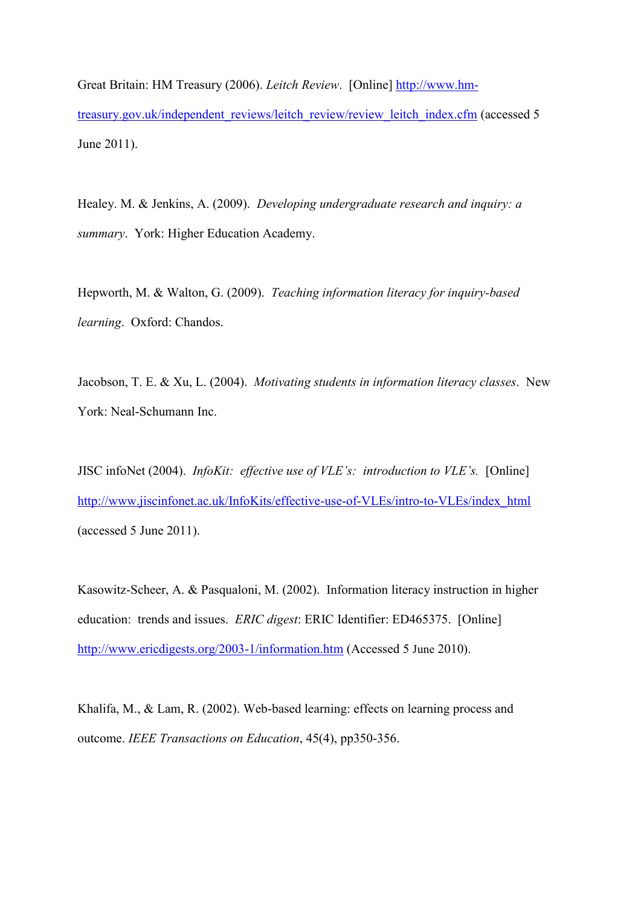Great Britain: HM Treasury (2006). *Leitch Review*. [Online] [http://www.hm](http://www.hm-treasury.gov.uk/independent_reviews/leitch_review/review_leitch_index.cfm)[treasury.gov.uk/independent\\_reviews/leitch\\_review/review\\_leitch\\_index.cfm](http://www.hm-treasury.gov.uk/independent_reviews/leitch_review/review_leitch_index.cfm) (accessed 5 June 2011).

Healey. M. & Jenkins, A. (2009). *Developing undergraduate research and inquiry: a summary*. York: Higher Education Academy.

Hepworth, M. & Walton, G. (2009). *Teaching information literacy for inquiry-based learning*. Oxford: Chandos.

Jacobson, T. E. & Xu, L. (2004). *Motivating students in information literacy classes*. New York: Neal-Schumann Inc.

JISC infoNet (2004). *InfoKit: effective use of VLE's: introduction to VLE's.* [Online] [http://www.jiscinfonet.ac.uk/InfoKits/effective-use-of-VLEs/intro-to-VLEs/index\\_html](http://www.jiscinfonet.ac.uk/InfoKits/effective-use-of-VLEs/intro-to-VLEs/index_html) (accessed 5 June 2011).

Kasowitz-Scheer, A. & Pasqualoni, M. (2002). Information literacy instruction in higher education: trends and issues. *ERIC digest*: ERIC Identifier: ED465375. [Online] <http://www.ericdigests.org/2003-1/information.htm>(Accessed 5 June 2010).

Khalifa, M., & Lam, R. (2002). Web-based learning: effects on learning process and outcome. *IEEE Transactions on Education*, 45(4), pp350-356.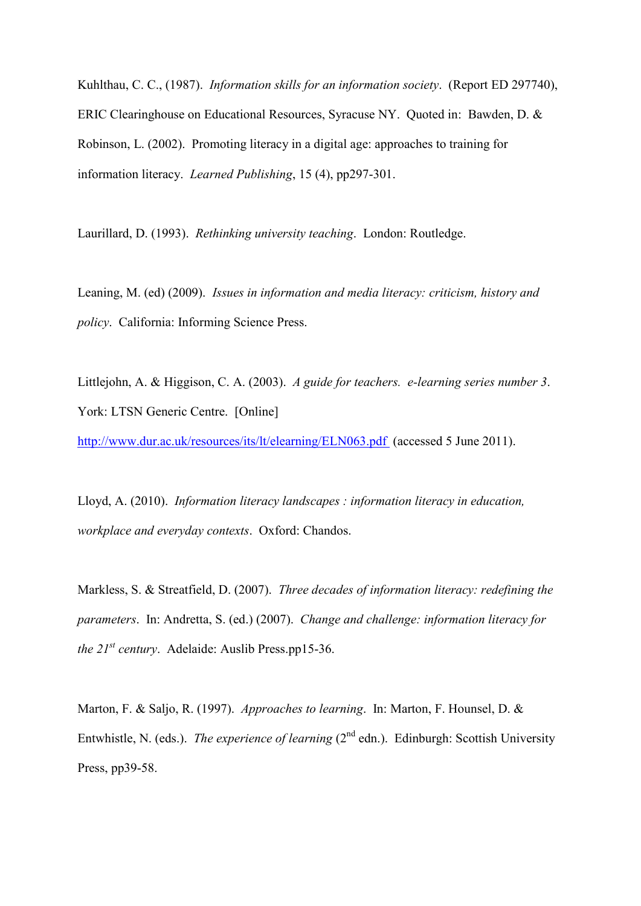Kuhlthau, C. C., (1987). *Information skills for an information society*. (Report ED 297740), ERIC Clearinghouse on Educational Resources, Syracuse NY. Quoted in: Bawden, D. & Robinson, L. (2002). Promoting literacy in a digital age: approaches to training for information literacy. *Learned Publishing*, 15 (4), pp297-301.

Laurillard, D. (1993). *Rethinking university teaching*. London: Routledge.

Leaning, M. (ed) (2009). *Issues in information and media literacy: criticism, history and policy*. California: Informing Science Press.

Littlejohn, A. & Higgison, C. A. (2003). *A guide for teachers. e-learning series number 3*. York: LTSN Generic Centre. [Online]

<http://www.dur.ac.uk/resources/its/lt/elearning/ELN063.pdf>(accessed 5 June 2011).

Lloyd, A. (2010). *Information literacy landscapes : information literacy in education, workplace and everyday contexts*. Oxford: Chandos.

Markless, S. & Streatfield, D. (2007). *Three decades of information literacy: redefining the parameters*. In: Andretta, S. (ed.) (2007). *Change and challenge: information literacy for the 21st century*. Adelaide: Auslib Press.pp15-36.

Marton, F. & Saljo, R. (1997). *Approaches to learning*. In: Marton, F. Hounsel, D. & Entwhistle, N. (eds.). *The experience of learning* (2<sup>nd</sup> edn.). Edinburgh: Scottish University Press, pp39-58.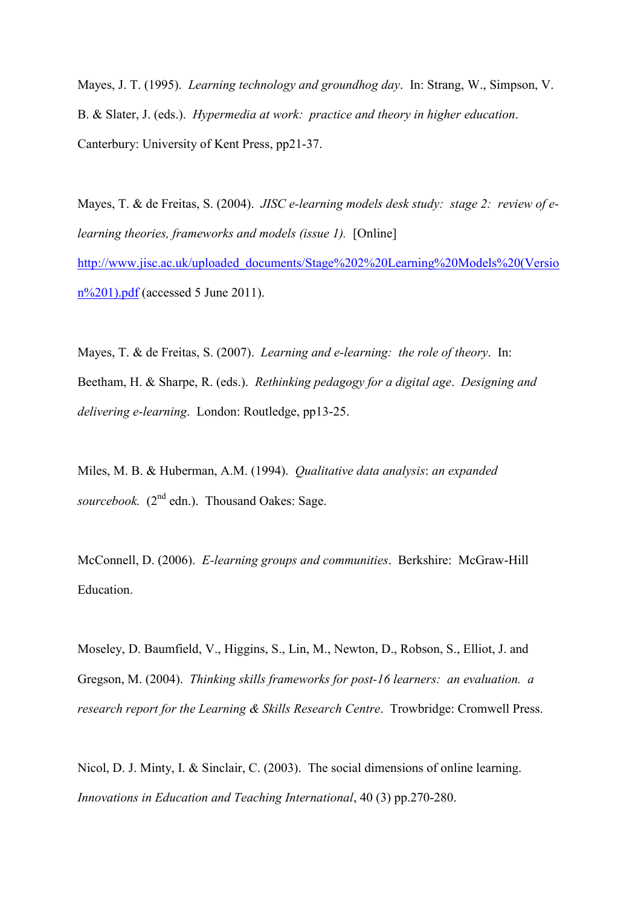Mayes, J. T. (1995). *Learning technology and groundhog day*. In: Strang, W., Simpson, V. B. & Slater, J. (eds.). *Hypermedia at work: practice and theory in higher education*. Canterbury: University of Kent Press, pp21-37.

Mayes, T. & de Freitas, S. (2004). *JISC e-learning models desk study: stage 2: review of elearning theories, frameworks and models (issue 1).* [Online] [http://www.jisc.ac.uk/uploaded\\_documents/Stage%202%20Learning%20Models%20\(Versio](http://www.jisc.ac.uk/uploaded_documents/Stage%202%20Learning%20Models%20(Version%201).pdf) [n%201\).pdf](http://www.jisc.ac.uk/uploaded_documents/Stage%202%20Learning%20Models%20(Version%201).pdf) (accessed 5 June 2011).

Mayes, T. & de Freitas, S. (2007). *Learning and e-learning: the role of theory*. In: Beetham, H. & Sharpe, R. (eds.). *Rethinking pedagogy for a digital age*. *Designing and delivering e-learning*. London: Routledge, pp13-25.

Miles, M. B. & Huberman, A.M. (1994). *Qualitative data analysis*: *an expanded*  sourcebook. (2<sup>nd</sup> edn.). Thousand Oakes: Sage.

McConnell, D. (2006). *E-learning groups and communities*. Berkshire: McGraw-Hill Education.

Moseley, D. Baumfield, V., Higgins, S., Lin, M., Newton, D., Robson, S., Elliot, J. and Gregson, M. (2004). *Thinking skills frameworks for post-16 learners: an evaluation. a research report for the Learning & Skills Research Centre*. Trowbridge: Cromwell Press.

Nicol, D. J. Minty, I. & Sinclair, C. (2003). The social dimensions of online learning. *Innovations in Education and Teaching International*, 40 (3) pp.270-280.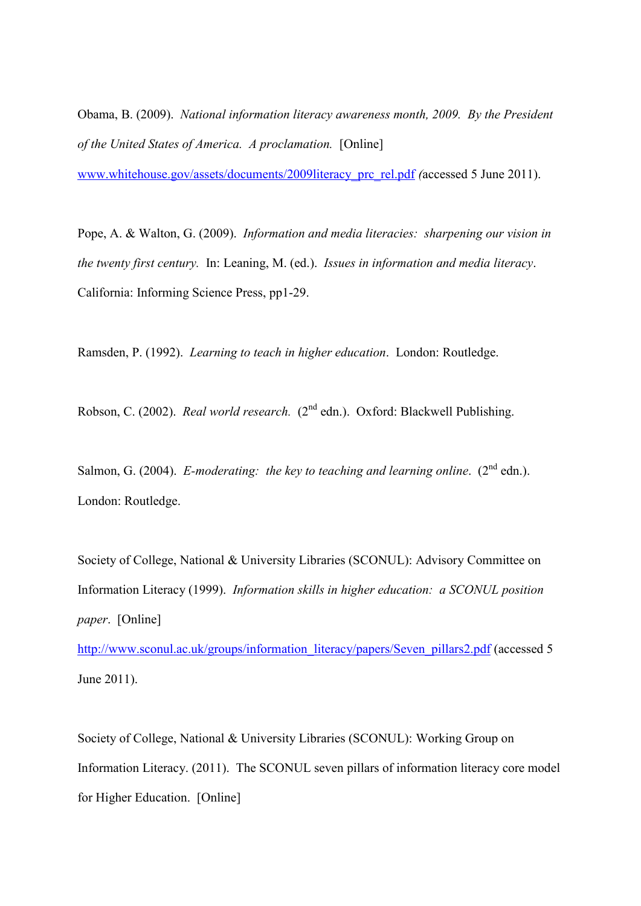Obama, B. (2009). *National information literacy awareness month, 2009. By the President of the United States of America. A proclamation.* [Online]

[www.whitehouse.gov/assets/documents/2009literacy\\_prc\\_rel.pdf](http://www.whitehouse.gov/assets/documents/2009literacy_prc_rel.pdf) *(*accessed 5 June 2011).

Pope, A. & Walton, G. (2009). *Information and media literacies: sharpening our vision in the twenty first century.* In: Leaning, M. (ed.). *Issues in information and media literacy*. California: Informing Science Press, pp1-29.

Ramsden, P. (1992). *Learning to teach in higher education*. London: Routledge.

Robson, C. (2002). *Real world research.* (2nd edn.). Oxford: Blackwell Publishing.

Salmon, G. (2004). *E-moderating: the key to teaching and learning online.* (2<sup>nd</sup> edn.). London: Routledge.

Society of College, National & University Libraries (SCONUL): Advisory Committee on Information Literacy (1999). *Information skills in higher education: a SCONUL position paper*. [Online]

[http://www.sconul.ac.uk/groups/information\\_literacy/papers/Seven\\_pillars2.pdf](http://www.sconul.ac.uk/groups/information_literacy/papers/Seven_pillars2.pdf) (accessed 5 June 2011).

Society of College, National & University Libraries (SCONUL): Working Group on Information Literacy. (2011). The SCONUL seven pillars of information literacy core model for Higher Education. [Online]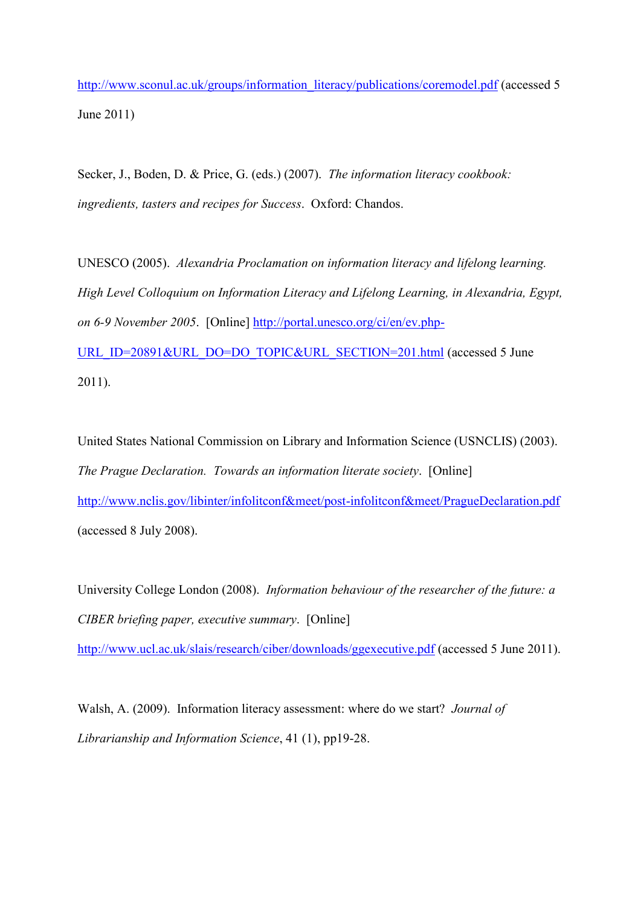[http://www.sconul.ac.uk/groups/information\\_literacy/publications/coremodel.pdf](http://www.sconul.ac.uk/groups/information_literacy/publications/coremodel.pdf) (accessed 5 June 2011)

Secker, J., Boden, D. & Price, G. (eds.) (2007). *The information literacy cookbook: ingredients, tasters and recipes for Success*. Oxford: Chandos.

UNESCO (2005). *Alexandria Proclamation on information literacy and lifelong learning. High Level Colloquium on Information Literacy and Lifelong Learning, in Alexandria, Egypt, on 6-9 November 2005*. [Online] [http://portal.unesco.org/ci/en/ev.php-](http://portal.unesco.org/ci/en/ev.php-URL_ID=20891&URL_DO=DO_TOPIC&URL_SECTION=201.html)[URL\\_ID=20891&URL\\_DO=DO\\_TOPIC&URL\\_SECTION=201.html](http://portal.unesco.org/ci/en/ev.php-URL_ID=20891&URL_DO=DO_TOPIC&URL_SECTION=201.html) (accessed 5 June 2011).

United States National Commission on Library and Information Science (USNCLIS) (2003). *The Prague Declaration. Towards an information literate society*. [Online] <http://www.nclis.gov/libinter/infolitconf&meet/post-infolitconf&meet/PragueDeclaration.pdf> (accessed 8 July 2008).

University College London (2008). *Information behaviour of the researcher of the future: a CIBER briefing paper, executive summary*. [Online]

<http://www.ucl.ac.uk/slais/research/ciber/downloads/ggexecutive.pdf>(accessed 5 June 2011).

Walsh, A. (2009). Information literacy assessment: where do we start? *Journal of Librarianship and Information Science*, 41 (1), pp19-28.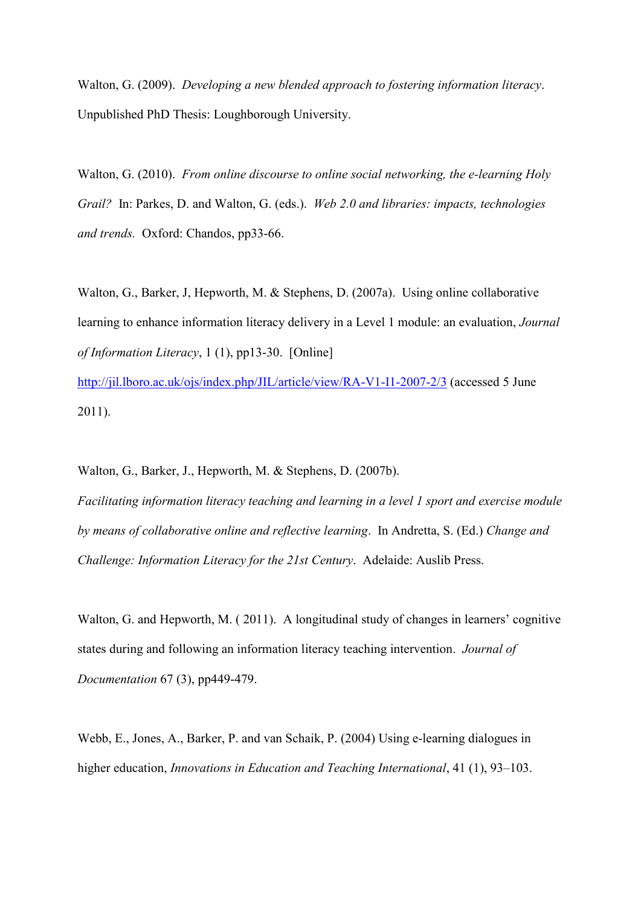Walton, G. (2009). *Developing a new blended approach to fostering information literacy*. Unpublished PhD Thesis: Loughborough University.

Walton, G. (2010). *From online discourse to online social networking, the e-learning Holy Grail?* In: Parkes, D. and Walton, G. (eds.). *[Web 2.0 and libraries: impacts, technologies](http://www.amazon.co.uk/Web-2-0-Libraries-Impacts-Technologies/dp/1843343460/ref=sr_1_2?ie=UTF8&s=books&qid=1197981877&sr=1-2)  [and trends.](http://www.amazon.co.uk/Web-2-0-Libraries-Impacts-Technologies/dp/1843343460/ref=sr_1_2?ie=UTF8&s=books&qid=1197981877&sr=1-2)* Oxford: Chandos, pp33-66.

Walton, G., Barker, J., Hepworth, M. & Stephens, D. (2007a). Using online collaborative learning to enhance information literacy delivery in a Level 1 module: an evaluation, *Journal of Information Literacy*, 1 (1), pp13-30. [Online]

<http://jil.lboro.ac.uk/ojs/index.php/JIL/article/view/RA-V1-I1-2007-2/3>(accessed 5 June 2011).

Walton, G., Barker, J., Hepworth, M. & Stephens, D. (2007b). *Facilitating information literacy teaching and learning in a level 1 sport and exercise module by means of collaborative online and reflective learning*. In Andretta, S. (Ed.) *Change and Challenge: Information Literacy for the 21st Century*. Adelaide: Auslib Press.

Walton, G. and Hepworth, M. (2011). A longitudinal study of changes in learners' cognitive states during and following an information literacy teaching intervention. *Journal of Documentation* 67 (3), pp449-479.

Webb, E., Jones, A., Barker, P. and van Schaik, P. (2004) Using e-learning dialogues in higher education, *Innovations in Education and Teaching International*, 41 (1), 93–103.